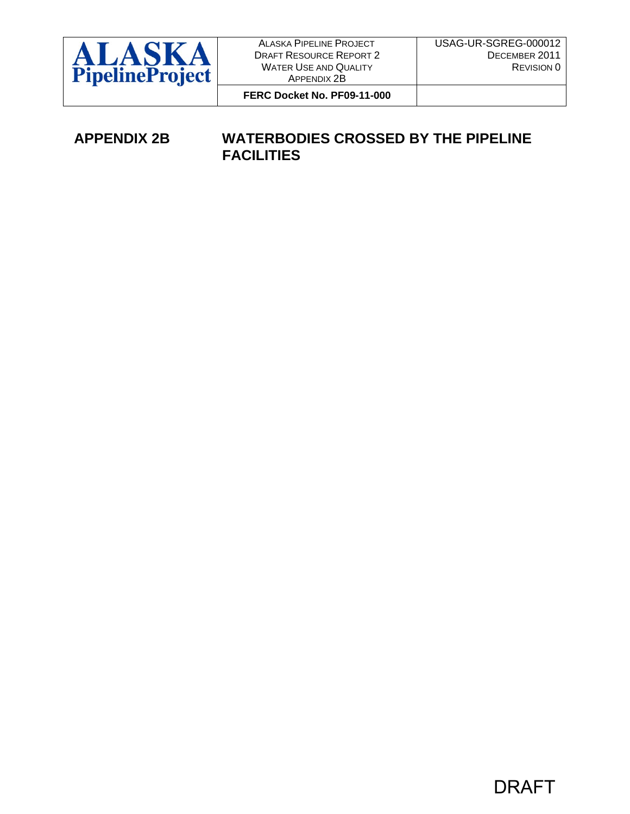

DRAFT RESOURCE REPORT 2 WATER USE AND QUALITY APPENDIX 2B

**FERC Docket No. PF09-11-000** 

## **APPENDIX 2B WATERBODIES CROSSED BY THE PIPELINE FACILITIES**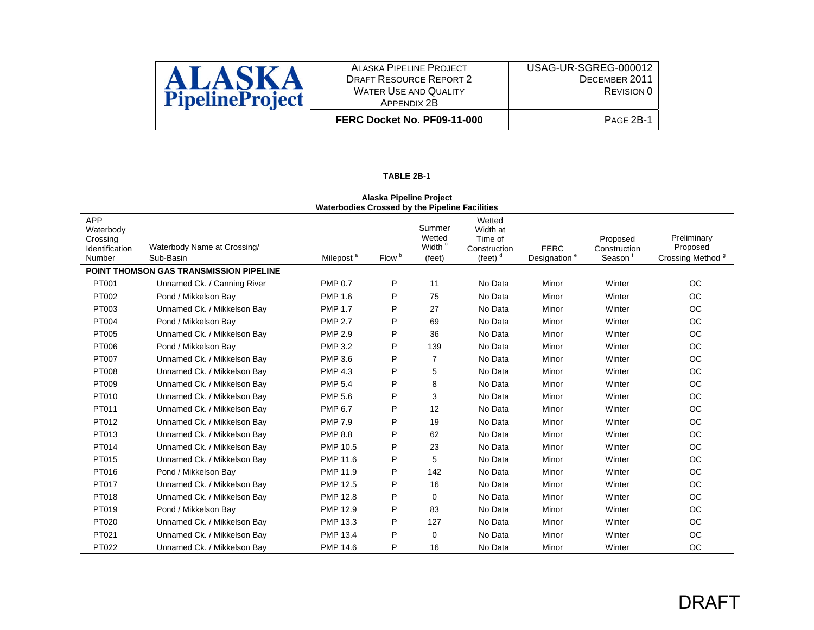

ALASKA PIPELINE PROJECT DRAFT RESOURCE REPORT 2 WATER USE AND QUALITY APPENDIX 2B **FERC Docket No. PF09-11-000**

|                                                                                  | TABLE 2B-1                               |                       |                   |                                                  |                                                             |                                         |                                    |                                                         |
|----------------------------------------------------------------------------------|------------------------------------------|-----------------------|-------------------|--------------------------------------------------|-------------------------------------------------------------|-----------------------------------------|------------------------------------|---------------------------------------------------------|
| <b>Alaska Pipeline Project</b><br>Waterbodies Crossed by the Pipeline Facilities |                                          |                       |                   |                                                  |                                                             |                                         |                                    |                                                         |
| <b>APP</b><br>Waterbody<br>Crossing<br>Identification<br>Number                  | Waterbody Name at Crossing/<br>Sub-Basin | Milepost <sup>a</sup> | Flow <sup>b</sup> | Summer<br>Wetted<br>Width <sup>c</sup><br>(feet) | Wetted<br>Width at<br>Time of<br>Construction<br>(feet) $d$ | <b>FERC</b><br>Designation <sup>e</sup> | Proposed<br>Construction<br>Season | Preliminary<br>Proposed<br>Crossing Method <sup>9</sup> |
|                                                                                  | POINT THOMSON GAS TRANSMISSION PIPELINE  |                       |                   |                                                  |                                                             |                                         |                                    |                                                         |
| PT001                                                                            | Unnamed Ck. / Canning River              | <b>PMP 0.7</b>        | P                 | 11                                               | No Data                                                     | Minor                                   | Winter                             | <b>OC</b>                                               |
| PT002                                                                            | Pond / Mikkelson Bay                     | <b>PMP 1.6</b>        | P                 | 75                                               | No Data                                                     | Minor                                   | Winter                             | <b>OC</b>                                               |
| PT003                                                                            | Unnamed Ck. / Mikkelson Bay              | <b>PMP 1.7</b>        | P                 | 27                                               | No Data                                                     | Minor                                   | Winter                             | <b>OC</b>                                               |
| PT004                                                                            | Pond / Mikkelson Bay                     | <b>PMP 2.7</b>        | P                 | 69                                               | No Data                                                     | Minor                                   | Winter                             | <b>OC</b>                                               |
| PT005                                                                            | Unnamed Ck. / Mikkelson Bay              | <b>PMP 2.9</b>        | P                 | 36                                               | No Data                                                     | Minor                                   | Winter                             | <b>OC</b>                                               |
| PT006                                                                            | Pond / Mikkelson Bay                     | <b>PMP 3.2</b>        | P                 | 139                                              | No Data                                                     | Minor                                   | Winter                             | <b>OC</b>                                               |
| PT007                                                                            | Unnamed Ck. / Mikkelson Bay              | <b>PMP 3.6</b>        | P                 | $\overline{7}$                                   | No Data                                                     | Minor                                   | Winter                             | <b>OC</b>                                               |
| <b>PT008</b>                                                                     | Unnamed Ck. / Mikkelson Bay              | <b>PMP 4.3</b>        | P                 | 5                                                | No Data                                                     | Minor                                   | Winter                             | <b>OC</b>                                               |
| PT009                                                                            | Unnamed Ck. / Mikkelson Bay              | <b>PMP 5.4</b>        | P                 | 8                                                | No Data                                                     | Minor                                   | Winter                             | OC                                                      |
| PT010                                                                            | Unnamed Ck. / Mikkelson Bay              | <b>PMP 5.6</b>        | P                 | 3                                                | No Data                                                     | Minor                                   | Winter                             | OC                                                      |
| PT011                                                                            | Unnamed Ck. / Mikkelson Bay              | <b>PMP 6.7</b>        | P                 | 12                                               | No Data                                                     | Minor                                   | Winter                             | OC                                                      |
| PT012                                                                            | Unnamed Ck. / Mikkelson Bay              | <b>PMP 7.9</b>        | P                 | 19                                               | No Data                                                     | Minor                                   | Winter                             | <b>OC</b>                                               |
| PT013                                                                            | Unnamed Ck. / Mikkelson Bay              | <b>PMP 8.8</b>        | P                 | 62                                               | No Data                                                     | Minor                                   | Winter                             | <b>OC</b>                                               |
| PT014                                                                            | Unnamed Ck. / Mikkelson Bay              | <b>PMP 10.5</b>       | P                 | 23                                               | No Data                                                     | Minor                                   | Winter                             | OC                                                      |
| PT015                                                                            | Unnamed Ck. / Mikkelson Bay              | PMP 11.6              | P                 | 5                                                | No Data                                                     | Minor                                   | Winter                             | <b>OC</b>                                               |
| PT016                                                                            | Pond / Mikkelson Bay                     | PMP 11.9              | P                 | 142                                              | No Data                                                     | Minor                                   | Winter                             | <b>OC</b>                                               |
| PT017                                                                            | Unnamed Ck. / Mikkelson Bay              | <b>PMP 12.5</b>       | P                 | 16                                               | No Data                                                     | Minor                                   | Winter                             | <b>OC</b>                                               |
| PT018                                                                            | Unnamed Ck. / Mikkelson Bay              | <b>PMP 12.8</b>       | P                 | $\Omega$                                         | No Data                                                     | Minor                                   | Winter                             | <b>OC</b>                                               |
| PT019                                                                            | Pond / Mikkelson Bay                     | PMP 12.9              | P                 | 83                                               | No Data                                                     | Minor                                   | Winter                             | <b>OC</b>                                               |
| PT020                                                                            | Unnamed Ck. / Mikkelson Bay              | <b>PMP 13.3</b>       | P                 | 127                                              | No Data                                                     | Minor                                   | Winter                             | <b>OC</b>                                               |
| PT021                                                                            | Unnamed Ck. / Mikkelson Bav              | <b>PMP 13.4</b>       | P                 | $\mathbf 0$                                      | No Data                                                     | Minor                                   | Winter                             | <b>OC</b>                                               |
| PT022                                                                            | Unnamed Ck. / Mikkelson Bay              | <b>PMP 14.6</b>       | P                 | 16                                               | No Data                                                     | Minor                                   | Winter                             | <b>OC</b>                                               |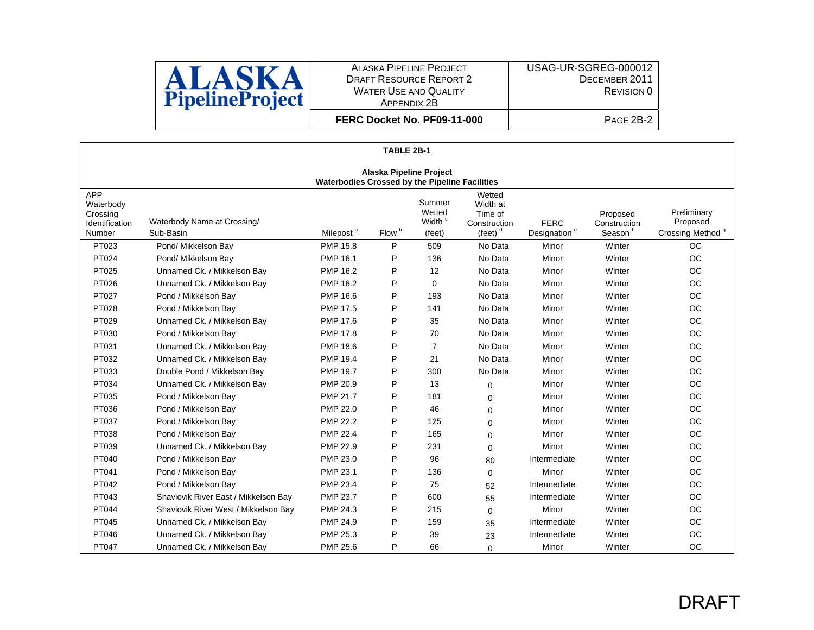

USAG-UR-SGREG-000012 DECEMBER 2011 REVISION 0

**FERC Docket No. PF09-11-000**

| TABLE 2B-1                                                      |                                                       |                       |                   |                                                  |                                                             |                                         |                                                 |                                                         |  |  |
|-----------------------------------------------------------------|-------------------------------------------------------|-----------------------|-------------------|--------------------------------------------------|-------------------------------------------------------------|-----------------------------------------|-------------------------------------------------|---------------------------------------------------------|--|--|
| <b>Alaska Pipeline Project</b>                                  |                                                       |                       |                   |                                                  |                                                             |                                         |                                                 |                                                         |  |  |
|                                                                 | <b>Waterbodies Crossed by the Pipeline Facilities</b> |                       |                   |                                                  |                                                             |                                         |                                                 |                                                         |  |  |
| <b>APP</b><br>Waterbody<br>Crossing<br>Identification<br>Number | Waterbody Name at Crossing/<br>Sub-Basin              | Milepost <sup>a</sup> | Flow <sup>b</sup> | Summer<br>Wetted<br>Width <sup>c</sup><br>(feet) | Wetted<br>Width at<br>Time of<br>Construction<br>(feet) $d$ | <b>FERC</b><br>Designation <sup>e</sup> | Proposed<br>Construction<br>Season <sup>1</sup> | Preliminary<br>Proposed<br>Crossing Method <sup>9</sup> |  |  |
| PT023                                                           | Pond/ Mikkelson Bay                                   | <b>PMP 15.8</b>       | P                 | 509                                              | No Data                                                     | Minor                                   | Winter                                          | <b>OC</b>                                               |  |  |
| PT024                                                           | Pond/ Mikkelson Bay                                   | <b>PMP 16.1</b>       | P                 | 136                                              | No Data                                                     | Minor                                   | Winter                                          | <b>OC</b>                                               |  |  |
| PT025                                                           | Unnamed Ck. / Mikkelson Bay                           | <b>PMP 16.2</b>       | P                 | 12                                               | No Data                                                     | Minor                                   | Winter                                          | OC                                                      |  |  |
| PT026                                                           | Unnamed Ck. / Mikkelson Bay                           | <b>PMP 16.2</b>       | P                 | $\mathbf 0$                                      | No Data                                                     | Minor                                   | Winter                                          | <b>OC</b>                                               |  |  |
| PT027                                                           | Pond / Mikkelson Bay                                  | <b>PMP 16.6</b>       | P                 | 193                                              | No Data                                                     | Minor                                   | Winter                                          | <b>OC</b>                                               |  |  |
| PT028                                                           | Pond / Mikkelson Bay                                  | <b>PMP 17.5</b>       | P                 | 141                                              | No Data                                                     | Minor                                   | Winter                                          | <b>OC</b>                                               |  |  |
| PT029                                                           | Unnamed Ck. / Mikkelson Bay                           | <b>PMP 17.6</b>       | P                 | 35                                               | No Data                                                     | Minor                                   | Winter                                          | OC                                                      |  |  |
| PT030                                                           | Pond / Mikkelson Bay                                  | <b>PMP 17.8</b>       | P                 | 70                                               | No Data                                                     | Minor                                   | Winter                                          | OC                                                      |  |  |
| PT031                                                           | Unnamed Ck. / Mikkelson Bay                           | <b>PMP 18.6</b>       | P                 | $\overline{7}$                                   | No Data                                                     | Minor                                   | Winter                                          | <b>OC</b>                                               |  |  |
| PT032                                                           | Unnamed Ck. / Mikkelson Bay                           | <b>PMP 19.4</b>       | P                 | 21                                               | No Data                                                     | Minor                                   | Winter                                          | OC                                                      |  |  |
| PT033                                                           | Double Pond / Mikkelson Bay                           | <b>PMP 19.7</b>       | P                 | 300                                              | No Data                                                     | Minor                                   | Winter                                          | OC                                                      |  |  |
| PT034                                                           | Unnamed Ck. / Mikkelson Bay                           | PMP 20.9              | P                 | 13                                               | $\Omega$                                                    | Minor                                   | Winter                                          | OC                                                      |  |  |
| PT035                                                           | Pond / Mikkelson Bay                                  | <b>PMP 21.7</b>       | P                 | 181                                              | $\Omega$                                                    | Minor                                   | Winter                                          | OC                                                      |  |  |
| PT036                                                           | Pond / Mikkelson Bay                                  | <b>PMP 22.0</b>       | P                 | 46                                               | $\Omega$                                                    | Minor                                   | Winter                                          | OC                                                      |  |  |
| PT037                                                           | Pond / Mikkelson Bay                                  | <b>PMP 22.2</b>       | P                 | 125                                              | $\Omega$                                                    | Minor                                   | Winter                                          | <b>OC</b>                                               |  |  |
| PT038                                                           | Pond / Mikkelson Bay                                  | <b>PMP 22.4</b>       | P                 | 165                                              | $\Omega$                                                    | Minor                                   | Winter                                          | OC                                                      |  |  |
| PT039                                                           | Unnamed Ck. / Mikkelson Bay                           | <b>PMP 22.9</b>       | P                 | 231                                              | $\Omega$                                                    | Minor                                   | Winter                                          | OC                                                      |  |  |
| PT040                                                           | Pond / Mikkelson Bay                                  | PMP 23.0              | P                 | 96                                               | 80                                                          | Intermediate                            | Winter                                          | <b>OC</b>                                               |  |  |
| PT041                                                           | Pond / Mikkelson Bay                                  | PMP 23.1              | P                 | 136                                              | $\Omega$                                                    | Minor                                   | Winter                                          | <b>OC</b>                                               |  |  |
| PT042                                                           | Pond / Mikkelson Bay                                  | <b>PMP 23.4</b>       | P                 | 75                                               | 52                                                          | Intermediate                            | Winter                                          | <b>OC</b>                                               |  |  |
| PT043                                                           | Shaviovik River East / Mikkelson Bay                  | <b>PMP 23.7</b>       | P                 | 600                                              | 55                                                          | Intermediate                            | Winter                                          | OC                                                      |  |  |
| PT044                                                           | Shaviovik River West / Mikkelson Bay                  | <b>PMP 24.3</b>       | P                 | 215                                              | $\Omega$                                                    | Minor                                   | Winter                                          | <b>OC</b>                                               |  |  |
| PT045                                                           | Unnamed Ck. / Mikkelson Bay                           | PMP 24.9              | P                 | 159                                              | 35                                                          | Intermediate                            | Winter                                          | OC                                                      |  |  |
| PT046                                                           | Unnamed Ck. / Mikkelson Bay                           | <b>PMP 25.3</b>       | P                 | 39                                               | 23                                                          | Intermediate                            | Winter                                          | OC                                                      |  |  |
| PT047                                                           | Unnamed Ck. / Mikkelson Bay                           | <b>PMP 25.6</b>       | P                 | 66                                               | $\Omega$                                                    | Minor                                   | Winter                                          | <b>OC</b>                                               |  |  |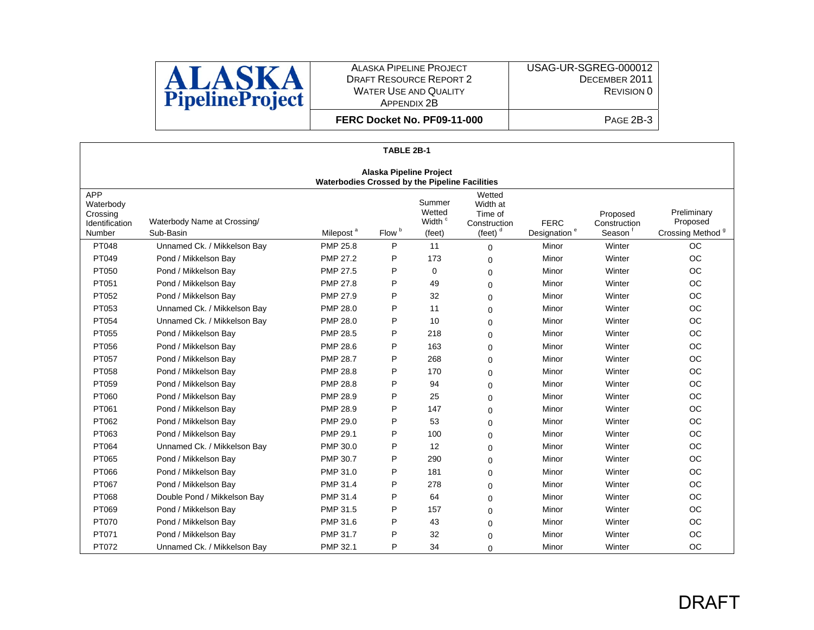

**FERC Docket No. PF09-11-000**

|                                                                                  | TABLE 2B-1                               |                       |                   |                                                  |                                                             |                                         |                                    |                                                         |  |
|----------------------------------------------------------------------------------|------------------------------------------|-----------------------|-------------------|--------------------------------------------------|-------------------------------------------------------------|-----------------------------------------|------------------------------------|---------------------------------------------------------|--|
| <b>Alaska Pipeline Project</b><br>Waterbodies Crossed by the Pipeline Facilities |                                          |                       |                   |                                                  |                                                             |                                         |                                    |                                                         |  |
| <b>APP</b><br>Waterbody<br>Crossing<br>Identification<br>Number                  | Waterbody Name at Crossing/<br>Sub-Basin | Milepost <sup>a</sup> | Flow <sup>b</sup> | Summer<br>Wetted<br>Width <sup>c</sup><br>(feet) | Wetted<br>Width at<br>Time of<br>Construction<br>(feet) $d$ | <b>FERC</b><br>Designation <sup>e</sup> | Proposed<br>Construction<br>Season | Preliminary<br>Proposed<br>Crossing Method <sup>9</sup> |  |
| PT048                                                                            | Unnamed Ck. / Mikkelson Bay              | <b>PMP 25.8</b>       | P                 | 11                                               | $\Omega$                                                    | Minor                                   | Winter                             | <b>OC</b>                                               |  |
| PT049                                                                            | Pond / Mikkelson Bay                     | <b>PMP 27.2</b>       | P                 | 173                                              | $\Omega$                                                    | Minor                                   | Winter                             | OC                                                      |  |
| PT050                                                                            | Pond / Mikkelson Bay                     | <b>PMP 27.5</b>       | P                 | $\Omega$                                         | 0                                                           | Minor                                   | Winter                             | OC                                                      |  |
| PT051                                                                            | Pond / Mikkelson Bay                     | PMP 27.8              | P                 | 49                                               | $\Omega$                                                    | Minor                                   | Winter                             | OC                                                      |  |
| PT052                                                                            | Pond / Mikkelson Bay                     | PMP 27.9              | P                 | 32                                               | 0                                                           | Minor                                   | Winter                             | OC                                                      |  |
| PT053                                                                            | Unnamed Ck. / Mikkelson Bay              | <b>PMP 28.0</b>       | P                 | 11                                               | 0                                                           | Minor                                   | Winter                             | OC                                                      |  |
| PT054                                                                            | Unnamed Ck. / Mikkelson Bay              | PMP 28.0              | P                 | 10                                               | $\Omega$                                                    | Minor                                   | Winter                             | OC                                                      |  |
| PT055                                                                            | Pond / Mikkelson Bay                     | <b>PMP 28.5</b>       | P                 | 218                                              | 0                                                           | Minor                                   | Winter                             | OC                                                      |  |
| PT056                                                                            | Pond / Mikkelson Bay                     | PMP 28.6              | P                 | 163                                              | $\Omega$                                                    | Minor                                   | Winter                             | OC                                                      |  |
| PT057                                                                            | Pond / Mikkelson Bay                     | <b>PMP 28.7</b>       | P                 | 268                                              | $\Omega$                                                    | Minor                                   | Winter                             | OC                                                      |  |
| PT058                                                                            | Pond / Mikkelson Bay                     | <b>PMP 28.8</b>       | P                 | 170                                              | 0                                                           | Minor                                   | Winter                             | <b>OC</b>                                               |  |
| PT059                                                                            | Pond / Mikkelson Bay                     | <b>PMP 28.8</b>       | P                 | 94                                               | $\Omega$                                                    | Minor                                   | Winter                             | OC                                                      |  |
| PT060                                                                            | Pond / Mikkelson Bay                     | PMP 28.9              | P                 | 25                                               | 0                                                           | Minor                                   | Winter                             | <b>OC</b>                                               |  |
| PT061                                                                            | Pond / Mikkelson Bay                     | PMP 28.9              | P                 | 147                                              | $\Omega$                                                    | Minor                                   | Winter                             | OC                                                      |  |
| PT062                                                                            | Pond / Mikkelson Bay                     | <b>PMP 29.0</b>       | P                 | 53                                               | $\Omega$                                                    | Minor                                   | Winter                             | OC                                                      |  |
| PT063                                                                            | Pond / Mikkelson Bay                     | PMP 29.1              | P                 | 100                                              | 0                                                           | Minor                                   | Winter                             | <b>OC</b>                                               |  |
| PT064                                                                            | Unnamed Ck. / Mikkelson Bay              | PMP 30.0              | P                 | 12                                               | $\Omega$                                                    | Minor                                   | Winter                             | OC                                                      |  |
| PT065                                                                            | Pond / Mikkelson Bay                     | PMP 30.7              | P                 | 290                                              | $\Omega$                                                    | Minor                                   | Winter                             | <b>OC</b>                                               |  |
| PT066                                                                            | Pond / Mikkelson Bay                     | PMP 31.0              | P                 | 181                                              | 0                                                           | Minor                                   | Winter                             | <b>OC</b>                                               |  |
| PT067                                                                            | Pond / Mikkelson Bay                     | PMP 31.4              | P                 | 278                                              | $\Omega$                                                    | Minor                                   | Winter                             | OC                                                      |  |
| PT068                                                                            | Double Pond / Mikkelson Bay              | PMP 31.4              | P                 | 64                                               | 0                                                           | Minor                                   | Winter                             | OC                                                      |  |
| PT069                                                                            | Pond / Mikkelson Bay                     | PMP 31.5              | P                 | 157                                              | $\Omega$                                                    | Minor                                   | Winter                             | OC                                                      |  |
| PT070                                                                            | Pond / Mikkelson Bay                     | PMP 31.6              | P                 | 43                                               | 0                                                           | Minor                                   | Winter                             | OC                                                      |  |
| PT071                                                                            | Pond / Mikkelson Bay                     | PMP 31.7              | P                 | 32                                               | $\Omega$                                                    | Minor                                   | Winter                             | <b>OC</b>                                               |  |
| PT072                                                                            | Unnamed Ck. / Mikkelson Bay              | PMP 32.1              | P                 | 34                                               | 0                                                           | Minor                                   | Winter                             | <b>OC</b>                                               |  |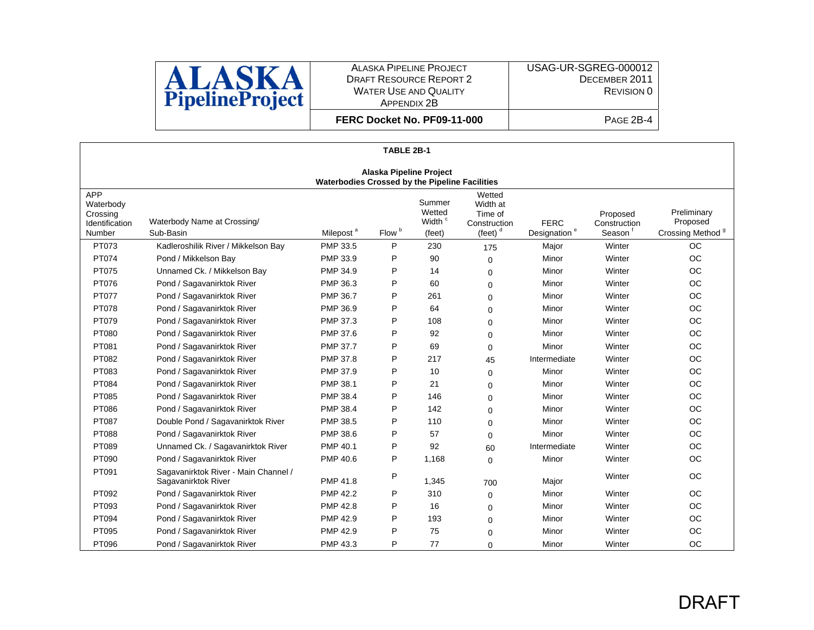

USAG-UR-SGREG-000012 DECEMBER 2011 REVISION 0

| FERC Docket No. PF09-11-000 |  |
|-----------------------------|--|
|                             |  |

|                                                                                  |                                                             |                       | TABLE 2B-1        |                                                  |                                                                               |                                         |                                                 |                                                         |  |
|----------------------------------------------------------------------------------|-------------------------------------------------------------|-----------------------|-------------------|--------------------------------------------------|-------------------------------------------------------------------------------|-----------------------------------------|-------------------------------------------------|---------------------------------------------------------|--|
| <b>Alaska Pipeline Project</b><br>Waterbodies Crossed by the Pipeline Facilities |                                                             |                       |                   |                                                  |                                                                               |                                         |                                                 |                                                         |  |
| <b>APP</b><br>Waterbody<br>Crossing<br>Identification<br>Number                  | Waterbody Name at Crossing/<br>Sub-Basin                    | Milepost <sup>a</sup> | Flow <sup>b</sup> | Summer<br>Wetted<br>Width <sup>c</sup><br>(feet) | Wetted<br>Width at<br>Time of<br>Construction<br>$(\text{feet})$ <sup>d</sup> | <b>FERC</b><br>Designation <sup>e</sup> | Proposed<br>Construction<br>Season <sup>1</sup> | Preliminary<br>Proposed<br>Crossing Method <sup>9</sup> |  |
| PT073                                                                            | Kadleroshilik River / Mikkelson Bay                         | PMP 33.5              | P                 | 230                                              | 175                                                                           | Major                                   | Winter                                          | <b>OC</b>                                               |  |
| PT074                                                                            | Pond / Mikkelson Bay                                        | PMP 33.9              | P                 | 90                                               | 0                                                                             | Minor                                   | Winter                                          | <b>OC</b>                                               |  |
| PT075                                                                            | Unnamed Ck. / Mikkelson Bay                                 | PMP 34.9              | P                 | 14                                               | $\Omega$                                                                      | Minor                                   | Winter                                          | <b>OC</b>                                               |  |
| PT076                                                                            | Pond / Sagavanirktok River                                  | PMP 36.3              | P                 | 60                                               | $\Omega$                                                                      | Minor                                   | Winter                                          | <b>OC</b>                                               |  |
| PT077                                                                            | Pond / Sagavanirktok River                                  | <b>PMP 36.7</b>       | P                 | 261                                              | $\Omega$                                                                      | Minor                                   | Winter                                          | <b>OC</b>                                               |  |
| PT078                                                                            | Pond / Sagavanirktok River                                  | PMP 36.9              | P                 | 64                                               | 0                                                                             | Minor                                   | Winter                                          | <b>OC</b>                                               |  |
| PT079                                                                            | Pond / Sagavanirktok River                                  | PMP 37.3              | P                 | 108                                              | $\Omega$                                                                      | Minor                                   | Winter                                          | <b>OC</b>                                               |  |
| PT080                                                                            | Pond / Sagavanirktok River                                  | PMP 37.6              | P                 | 92                                               | $\Omega$                                                                      | Minor                                   | Winter                                          | <b>OC</b>                                               |  |
| PT081                                                                            | Pond / Sagavanirktok River                                  | <b>PMP 37.7</b>       | P                 | 69                                               | $\Omega$                                                                      | Minor                                   | Winter                                          | <b>OC</b>                                               |  |
| PT082                                                                            | Pond / Sagavanirktok River                                  | PMP 37.8              | P                 | 217                                              | 45                                                                            | Intermediate                            | Winter                                          | <b>OC</b>                                               |  |
| PT083                                                                            | Pond / Sagavanirktok River                                  | PMP 37.9              | P                 | 10                                               | $\mathbf 0$                                                                   | Minor                                   | Winter                                          | OC                                                      |  |
| PT084                                                                            | Pond / Sagavanirktok River                                  | PMP 38.1              | P                 | 21                                               | 0                                                                             | Minor                                   | Winter                                          | <b>OC</b>                                               |  |
| PT085                                                                            | Pond / Sagavanirktok River                                  | PMP 38.4              | P                 | 146                                              | $\Omega$                                                                      | Minor                                   | Winter                                          | <b>OC</b>                                               |  |
| PT086                                                                            | Pond / Sagavanirktok River                                  | PMP 38.4              | P                 | 142                                              | 0                                                                             | Minor                                   | Winter                                          | <b>OC</b>                                               |  |
| PT087                                                                            | Double Pond / Sagavanirktok River                           | PMP 38.5              | P                 | 110                                              | $\Omega$                                                                      | Minor                                   | Winter                                          | <b>OC</b>                                               |  |
| PT088                                                                            | Pond / Sagavanirktok River                                  | PMP 38.6              | P                 | 57                                               | $\Omega$                                                                      | Minor                                   | Winter                                          | <b>OC</b>                                               |  |
| PT089                                                                            | Unnamed Ck. / Sagavanirktok River                           | PMP 40.1              | P                 | 92                                               | 60                                                                            | Intermediate                            | Winter                                          | <b>OC</b>                                               |  |
| PT090                                                                            | Pond / Sagavanirktok River                                  | PMP 40.6              | P                 | 1,168                                            | 0                                                                             | Minor                                   | Winter                                          | <b>OC</b>                                               |  |
| PT091                                                                            | Sagavanirktok River - Main Channel /<br>Sagavanirktok River | PMP 41.8              | P                 | 1,345                                            | 700                                                                           | Major                                   | Winter                                          | <b>OC</b>                                               |  |
| PT092                                                                            | Pond / Sagavanirktok River                                  | <b>PMP 42.2</b>       | P                 | 310                                              | 0                                                                             | Minor                                   | Winter                                          | <b>OC</b>                                               |  |
| PT093                                                                            | Pond / Sagavanirktok River                                  | <b>PMP 42.8</b>       | P                 | 16                                               | 0                                                                             | Minor                                   | Winter                                          | <b>OC</b>                                               |  |
| PT094                                                                            | Pond / Sagavanirktok River                                  | PMP 42.9              | P                 | 193                                              | $\Omega$                                                                      | Minor                                   | Winter                                          | <b>OC</b>                                               |  |
| PT095                                                                            | Pond / Sagavanirktok River                                  | <b>PMP 42.9</b>       | P                 | 75                                               | $\Omega$                                                                      | Minor                                   | Winter                                          | <b>OC</b>                                               |  |
| PT096                                                                            | Pond / Sagavanirktok River                                  | PMP 43.3              | P                 | 77                                               | $\Omega$                                                                      | Minor                                   | Winter                                          | <b>OC</b>                                               |  |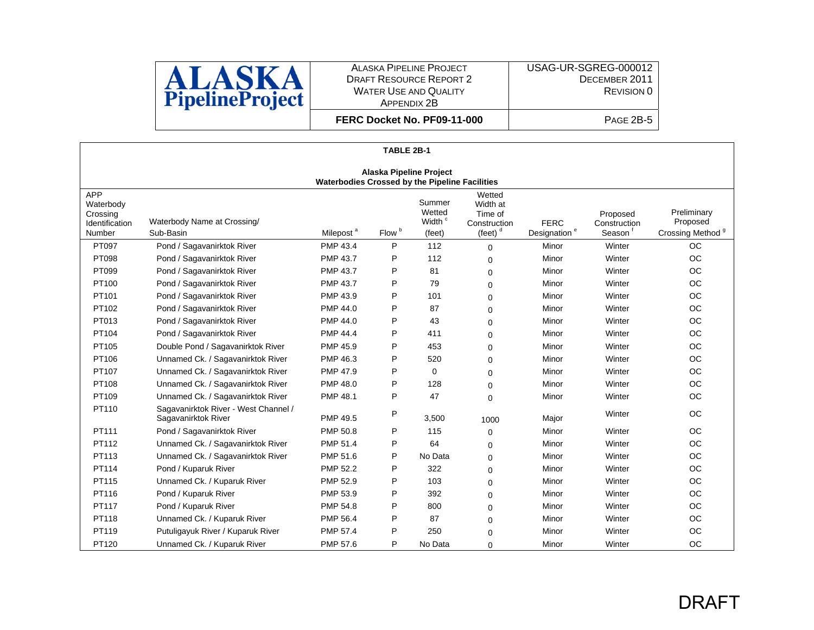

 DECEMBER 2011 REVISION 0

USAG-UR-SGREG-000012

 $\overline{P}$  Page 2B-5

|                                                                                  | TABLE 2B-1                                                  |                       |                   |                                                  |                                                             |                                         |                                    |                                                         |  |
|----------------------------------------------------------------------------------|-------------------------------------------------------------|-----------------------|-------------------|--------------------------------------------------|-------------------------------------------------------------|-----------------------------------------|------------------------------------|---------------------------------------------------------|--|
| <b>Alaska Pipeline Project</b><br>Waterbodies Crossed by the Pipeline Facilities |                                                             |                       |                   |                                                  |                                                             |                                         |                                    |                                                         |  |
| <b>APP</b><br>Waterbody<br>Crossing<br>Identification<br>Number                  | Waterbody Name at Crossing/<br>Sub-Basin                    | Milepost <sup>a</sup> | Flow <sup>b</sup> | Summer<br>Wetted<br>Width <sup>c</sup><br>(feet) | Wetted<br>Width at<br>Time of<br>Construction<br>(feet) $d$ | <b>FERC</b><br>Designation <sup>e</sup> | Proposed<br>Construction<br>Season | Preliminary<br>Proposed<br>Crossing Method <sup>9</sup> |  |
| PT097                                                                            | Pond / Sagavanirktok River                                  | PMP 43.4              | P                 | 112                                              | $\Omega$                                                    | Minor                                   | Winter                             | <b>OC</b>                                               |  |
| PT098                                                                            | Pond / Sagavanirktok River                                  | <b>PMP 43.7</b>       | P                 | 112                                              | $\Omega$                                                    | Minor                                   | Winter                             | <b>OC</b>                                               |  |
| PT099                                                                            | Pond / Sagavanirktok River                                  | <b>PMP 43.7</b>       | P                 | 81                                               | $\Omega$                                                    | Minor                                   | Winter                             | <b>OC</b>                                               |  |
| PT100                                                                            | Pond / Sagavanirktok River                                  | <b>PMP 43.7</b>       | P                 | 79                                               | $\Omega$                                                    | Minor                                   | Winter                             | OC                                                      |  |
| PT101                                                                            | Pond / Sagavanirktok River                                  | PMP 43.9              | P                 | 101                                              | 0                                                           | Minor                                   | Winter                             | OC                                                      |  |
| PT102                                                                            | Pond / Sagavanirktok River                                  | PMP 44.0              | P                 | 87                                               | 0                                                           | Minor                                   | Winter                             | OC                                                      |  |
| PT013                                                                            | Pond / Sagavanirktok River                                  | PMP 44.0              | P                 | 43                                               | $\Omega$                                                    | Minor                                   | Winter                             | OC                                                      |  |
| PT104                                                                            | Pond / Sagavanirktok River                                  | <b>PMP 44.4</b>       | P                 | 411                                              | $\Omega$                                                    | Minor                                   | Winter                             | <b>OC</b>                                               |  |
| PT105                                                                            | Double Pond / Sagavanirktok River                           | PMP 45.9              | P                 | 453                                              | $\Omega$                                                    | Minor                                   | Winter                             | OC                                                      |  |
| PT106                                                                            | Unnamed Ck. / Sagavanirktok River                           | PMP 46.3              | P                 | 520                                              | $\Omega$                                                    | Minor                                   | Winter                             | OC                                                      |  |
| PT107                                                                            | Unnamed Ck. / Sagavanirktok River                           | PMP 47.9              | P                 | 0                                                | $\Omega$                                                    | Minor                                   | Winter                             | OC                                                      |  |
| PT108                                                                            | Unnamed Ck. / Sagavanirktok River                           | <b>PMP 48.0</b>       | P                 | 128                                              | $\Omega$                                                    | Minor                                   | Winter                             | <b>OC</b>                                               |  |
| PT109                                                                            | Unnamed Ck. / Sagavanirktok River                           | <b>PMP 48.1</b>       | P                 | 47                                               | $\Omega$                                                    | Minor                                   | Winter                             | OC                                                      |  |
| PT110                                                                            | Sagavanirktok River - West Channel /<br>Sagavanirktok River | PMP 49.5              | P                 | 3,500                                            | 1000                                                        | Major                                   | Winter                             | OC                                                      |  |
| PT111                                                                            | Pond / Sagavanirktok River                                  | PMP 50.8              | P                 | 115                                              | 0                                                           | Minor                                   | Winter                             | OC                                                      |  |
| PT112                                                                            | Unnamed Ck. / Sagavanirktok River                           | PMP 51.4              | P                 | 64                                               | $\Omega$                                                    | Minor                                   | Winter                             | OC                                                      |  |
| PT113                                                                            | Unnamed Ck. / Sagavanirktok River                           | PMP 51.6              | P                 | No Data                                          | $\Omega$                                                    | Minor                                   | Winter                             | <b>OC</b>                                               |  |
| PT114                                                                            | Pond / Kuparuk River                                        | <b>PMP 52.2</b>       | P                 | 322                                              | $\Omega$                                                    | Minor                                   | Winter                             | <b>OC</b>                                               |  |
| PT115                                                                            | Unnamed Ck. / Kuparuk River                                 | PMP 52.9              | P                 | 103                                              | $\Omega$                                                    | Minor                                   | Winter                             | OC                                                      |  |
| PT116                                                                            | Pond / Kuparuk River                                        | PMP 53.9              | P                 | 392                                              | $\Omega$                                                    | Minor                                   | Winter                             | OC                                                      |  |
| PT117                                                                            | Pond / Kuparuk River                                        | PMP 54.8              | P                 | 800                                              | $\Omega$                                                    | Minor                                   | Winter                             | <b>OC</b>                                               |  |
| PT118                                                                            | Unnamed Ck. / Kuparuk River                                 | PMP 56.4              | P                 | 87                                               | 0                                                           | Minor                                   | Winter                             | <b>OC</b>                                               |  |
| PT119                                                                            | Putuligayuk River / Kuparuk River                           | PMP 57.4              | P                 | 250                                              | $\Omega$                                                    | Minor                                   | Winter                             | OC                                                      |  |
| PT120                                                                            | Unnamed Ck. / Kuparuk River                                 | PMP 57.6              | P                 | No Data                                          | 0                                                           | Minor                                   | Winter                             | <b>OC</b>                                               |  |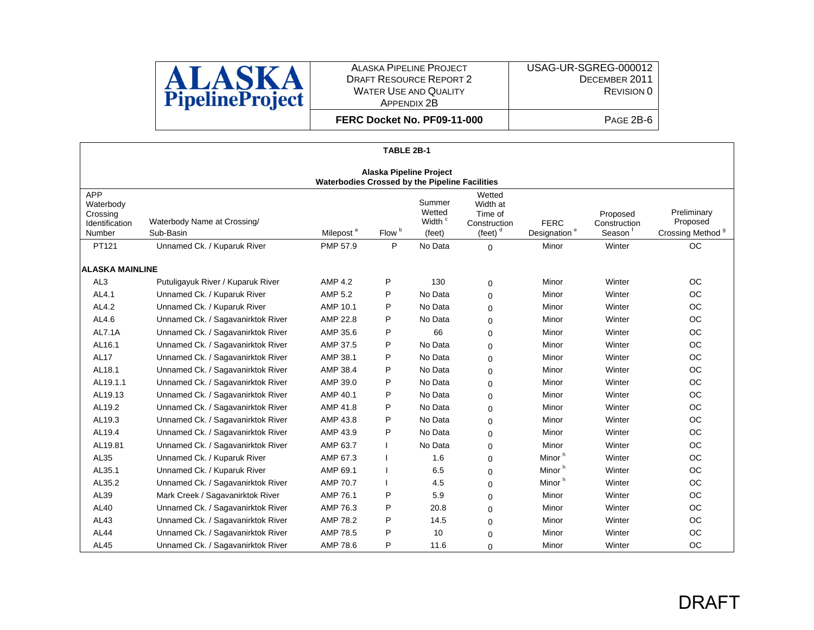

**FERC Docket No. PF09-11-000**

|                                                                 | TABLE 2B-1                                                                       |                       |                   |                                                  |                                                                               |                                         |                                    |                                                         |  |
|-----------------------------------------------------------------|----------------------------------------------------------------------------------|-----------------------|-------------------|--------------------------------------------------|-------------------------------------------------------------------------------|-----------------------------------------|------------------------------------|---------------------------------------------------------|--|
|                                                                 | <b>Alaska Pipeline Project</b><br>Waterbodies Crossed by the Pipeline Facilities |                       |                   |                                                  |                                                                               |                                         |                                    |                                                         |  |
| <b>APP</b><br>Waterbody<br>Crossing<br>Identification<br>Number | Waterbody Name at Crossing/<br>Sub-Basin                                         | Milepost <sup>a</sup> | Flow <sup>b</sup> | Summer<br>Wetted<br>Width <sup>c</sup><br>(feet) | Wetted<br>Width at<br>Time of<br>Construction<br>$(\text{feet})$ <sup>d</sup> | <b>FERC</b><br>Designation <sup>e</sup> | Proposed<br>Construction<br>Season | Preliminary<br>Proposed<br>Crossing Method <sup>9</sup> |  |
| PT121                                                           | Unnamed Ck. / Kuparuk River                                                      | PMP 57.9              | P                 | No Data                                          | $\Omega$                                                                      | Minor                                   | Winter                             | OC                                                      |  |
| <b>ALASKA MAINLINE</b>                                          |                                                                                  |                       |                   |                                                  |                                                                               |                                         |                                    |                                                         |  |
| AL <sub>3</sub>                                                 | Putuligayuk River / Kuparuk River                                                | <b>AMP 4.2</b>        | P                 | 130                                              | $\mathbf 0$                                                                   | Minor                                   | Winter                             | OC                                                      |  |
| AL4.1                                                           | Unnamed Ck. / Kuparuk River                                                      | AMP 5.2               | P                 | No Data                                          | $\mathbf 0$                                                                   | Minor                                   | Winter                             | OC                                                      |  |
| AL4.2                                                           | Unnamed Ck. / Kuparuk River                                                      | AMP 10.1              | P                 | No Data                                          | $\Omega$                                                                      | Minor                                   | Winter                             | <b>OC</b>                                               |  |
| AL4.6                                                           | Unnamed Ck. / Sagavanirktok River                                                | AMP 22.8              | P                 | No Data                                          | $\Omega$                                                                      | Minor                                   | Winter                             | <b>OC</b>                                               |  |
| <b>AL7.1A</b>                                                   | Unnamed Ck. / Sagavanirktok River                                                | AMP 35.6              | P                 | 66                                               | $\mathbf 0$                                                                   | Minor                                   | Winter                             | <b>OC</b>                                               |  |
| AL16.1                                                          | Unnamed Ck. / Sagavanirktok River                                                | AMP 37.5              | P                 | No Data                                          | $\Omega$                                                                      | Minor                                   | Winter                             | <b>OC</b>                                               |  |
| <b>AL17</b>                                                     | Unnamed Ck. / Sagavanirktok River                                                | AMP 38.1              | P                 | No Data                                          | $\Omega$                                                                      | Minor                                   | Winter                             | <b>OC</b>                                               |  |
| AL18.1                                                          | Unnamed Ck. / Sagavanirktok River                                                | AMP 38.4              | P                 | No Data                                          | $\Omega$                                                                      | Minor                                   | Winter                             | OC                                                      |  |
| AL19.1.1                                                        | Unnamed Ck. / Sagavanirktok River                                                | AMP 39.0              | P                 | No Data                                          | $\Omega$                                                                      | Minor                                   | Winter                             | OC                                                      |  |
| AL19.13                                                         | Unnamed Ck. / Sagavanirktok River                                                | AMP 40.1              | P                 | No Data                                          | $\Omega$                                                                      | Minor                                   | Winter                             | OC                                                      |  |
| AL19.2                                                          | Unnamed Ck. / Sagavanirktok River                                                | AMP 41.8              | P                 | No Data                                          | $\Omega$                                                                      | Minor                                   | Winter                             | <b>OC</b>                                               |  |
| AL19.3                                                          | Unnamed Ck. / Sagavanirktok River                                                | AMP 43.8              | P                 | No Data                                          | $\Omega$                                                                      | Minor                                   | Winter                             | <b>OC</b>                                               |  |
| AL19.4                                                          | Unnamed Ck. / Sagavanirktok River                                                | AMP 43.9              | P                 | No Data                                          | $\mathbf 0$                                                                   | Minor                                   | Winter                             | OC                                                      |  |
| AL19.81                                                         | Unnamed Ck. / Sagavanirktok River                                                | AMP 63.7              |                   | No Data                                          | 0                                                                             | Minor                                   | Winter                             | <b>OC</b>                                               |  |
| AL35                                                            | Unnamed Ck. / Kuparuk River                                                      | AMP 67.3              |                   | 1.6                                              | $\Omega$                                                                      | Minor <sup>h</sup>                      | Winter                             | OC                                                      |  |
| AL35.1                                                          | Unnamed Ck. / Kuparuk River                                                      | AMP 69.1              |                   | 6.5                                              | $\Omega$                                                                      | Minor <sup>h</sup>                      | Winter                             | OC                                                      |  |
| AL35.2                                                          | Unnamed Ck. / Sagavanirktok River                                                | AMP 70.7              |                   | 4.5                                              | 0                                                                             | Minor <sup>h</sup>                      | Winter                             | OC                                                      |  |
| AL39                                                            | Mark Creek / Sagavanirktok River                                                 | AMP 76.1              | P                 | 5.9                                              | $\Omega$                                                                      | Minor                                   | Winter                             | <b>OC</b>                                               |  |
| AL40                                                            | Unnamed Ck. / Sagavanirktok River                                                | AMP 76.3              | P                 | 20.8                                             | $\Omega$                                                                      | Minor                                   | Winter                             | OC                                                      |  |
| AL43                                                            | Unnamed Ck. / Sagavanirktok River                                                | AMP 78.2              | P                 | 14.5                                             | $\Omega$                                                                      | Minor                                   | Winter                             | <b>OC</b>                                               |  |
| AL44                                                            | Unnamed Ck. / Sagavanirktok River                                                | AMP 78.5              | P                 | 10                                               | $\Omega$                                                                      | Minor                                   | Winter                             | <b>OC</b>                                               |  |
| <b>AL45</b>                                                     | Unnamed Ck. / Sagavanirktok River                                                | AMP 78.6              | P                 | 11.6                                             | 0                                                                             | Minor                                   | Winter                             | <b>OC</b>                                               |  |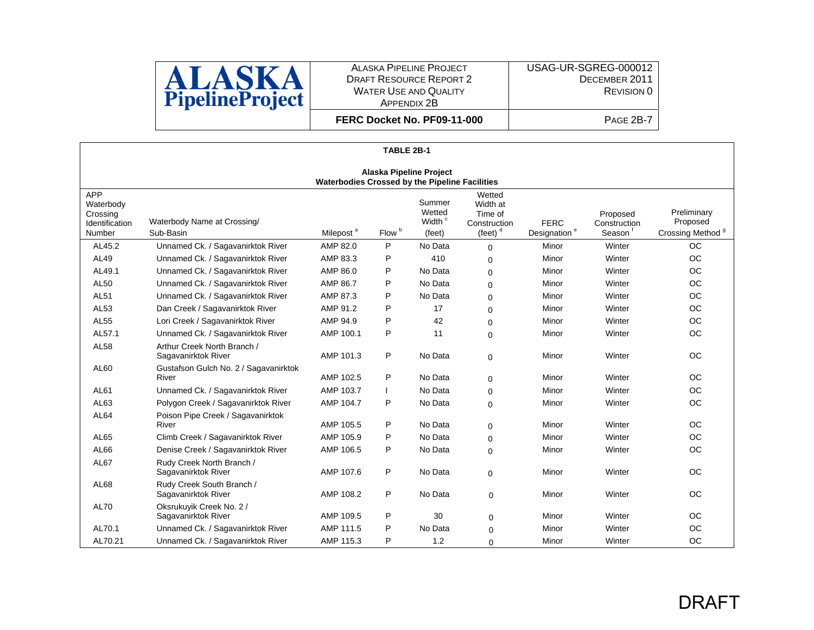

USAG-UR-SGREG-000012 DECEMBER 2011 REVISION 0 PAGE 2B-7

|                                                                                  |                                                    |                       | TABLE 2B-1        |                                                  |                                                                               |                                         |                                    |                                                         |  |
|----------------------------------------------------------------------------------|----------------------------------------------------|-----------------------|-------------------|--------------------------------------------------|-------------------------------------------------------------------------------|-----------------------------------------|------------------------------------|---------------------------------------------------------|--|
| <b>Alaska Pipeline Project</b><br>Waterbodies Crossed by the Pipeline Facilities |                                                    |                       |                   |                                                  |                                                                               |                                         |                                    |                                                         |  |
| <b>APP</b><br>Waterbody<br>Crossing<br>Identification<br>Number                  | Waterbody Name at Crossing/<br>Sub-Basin           | Milepost <sup>a</sup> | Flow <sup>b</sup> | Summer<br>Wetted<br>Width <sup>c</sup><br>(feet) | Wetted<br>Width at<br>Time of<br>Construction<br>$(\text{feet})$ <sup>d</sup> | <b>FERC</b><br>Designation <sup>e</sup> | Proposed<br>Construction<br>Season | Preliminary<br>Proposed<br>Crossing Method <sup>9</sup> |  |
| AL45.2                                                                           | Unnamed Ck. / Sagavanirktok River                  | AMP 82.0              | P                 | No Data                                          | $\Omega$                                                                      | Minor                                   | Winter                             | OC.                                                     |  |
| AL49                                                                             | Unnamed Ck. / Sagavanirktok River                  | AMP 83.3              | P                 | 410                                              | 0                                                                             | Minor                                   | Winter                             | <b>OC</b>                                               |  |
| AL49.1                                                                           | Unnamed Ck. / Sagavanirktok River                  | AMP 86.0              | P                 | No Data                                          | 0                                                                             | Minor                                   | Winter                             | <b>OC</b>                                               |  |
| <b>AL50</b>                                                                      | Unnamed Ck. / Sagavanirktok River                  | AMP 86.7              | P                 | No Data                                          | $\Omega$                                                                      | Minor                                   | Winter                             | <b>OC</b>                                               |  |
| <b>AL51</b>                                                                      | Unnamed Ck. / Sagavanirktok River                  | AMP 87.3              | P                 | No Data                                          | 0                                                                             | Minor                                   | Winter                             | <b>OC</b>                                               |  |
| AL53                                                                             | Dan Creek / Sagavanirktok River                    | AMP 91.2              | P                 | 17                                               | 0                                                                             | Minor                                   | Winter                             | <b>OC</b>                                               |  |
| <b>AL55</b>                                                                      | Lori Creek / Sagavanirktok River                   | AMP 94.9              | P                 | 42                                               | 0                                                                             | Minor                                   | Winter                             | <b>OC</b>                                               |  |
| AL57.1                                                                           | Unnamed Ck. / Sagavanirktok River                  | AMP 100.1             | P                 | 11                                               | 0                                                                             | Minor                                   | Winter                             | <b>OC</b>                                               |  |
| <b>AL58</b>                                                                      | Arthur Creek North Branch /<br>Sagavanirktok River | AMP 101.3             | P                 | No Data                                          | 0                                                                             | Minor                                   | Winter                             | <b>OC</b>                                               |  |
| AL60                                                                             | Gustafson Gulch No. 2 / Sagavanirktok<br>River     | AMP 102.5             | P                 | No Data                                          | 0                                                                             | Minor                                   | Winter                             | <b>OC</b>                                               |  |
| AL61                                                                             | Unnamed Ck. / Sagavanirktok River                  | AMP 103.7             |                   | No Data                                          | $\mathbf 0$                                                                   | Minor                                   | Winter                             | <b>OC</b>                                               |  |
| AL63                                                                             | Polygon Creek / Sagavanirktok River                | AMP 104.7             | P                 | No Data                                          | 0                                                                             | Minor                                   | Winter                             | <b>OC</b>                                               |  |
| <b>AL64</b>                                                                      | Poison Pipe Creek / Sagavanirktok<br>River         | AMP 105.5             | P                 | No Data                                          | 0                                                                             | Minor                                   | Winter                             | <b>OC</b>                                               |  |
| AL65                                                                             | Climb Creek / Sagavanirktok River                  | AMP 105.9             | P                 | No Data                                          | 0                                                                             | Minor                                   | Winter                             | <b>OC</b>                                               |  |
| AL66                                                                             | Denise Creek / Sagavanirktok River                 | AMP 106.5             | P                 | No Data                                          | $\Omega$                                                                      | Minor                                   | Winter                             | <b>OC</b>                                               |  |
| AL67                                                                             | Rudy Creek North Branch /<br>Sagavanirktok River   | AMP 107.6             | P                 | No Data                                          | 0                                                                             | Minor                                   | Winter                             | <b>OC</b>                                               |  |
| AL68                                                                             | Rudy Creek South Branch /<br>Sagavanirktok River   | AMP 108.2             | P                 | No Data                                          | $\mathbf 0$                                                                   | Minor                                   | Winter                             | <b>OC</b>                                               |  |
| <b>AL70</b>                                                                      | Oksrukuyik Creek No. 2 /<br>Sagavanirktok River    | AMP 109.5             | P                 | 30                                               | 0                                                                             | Minor                                   | Winter                             | <b>OC</b>                                               |  |

AL70.1 Unnamed Ck. / Sagavanirktok River AMP 111.5 P No Data 0 Minor Winter OC AL70.21 Unnamed Ck. / Sagavanirktok River AMP 115.3 P 1.2 0 Minor Winter Winter OC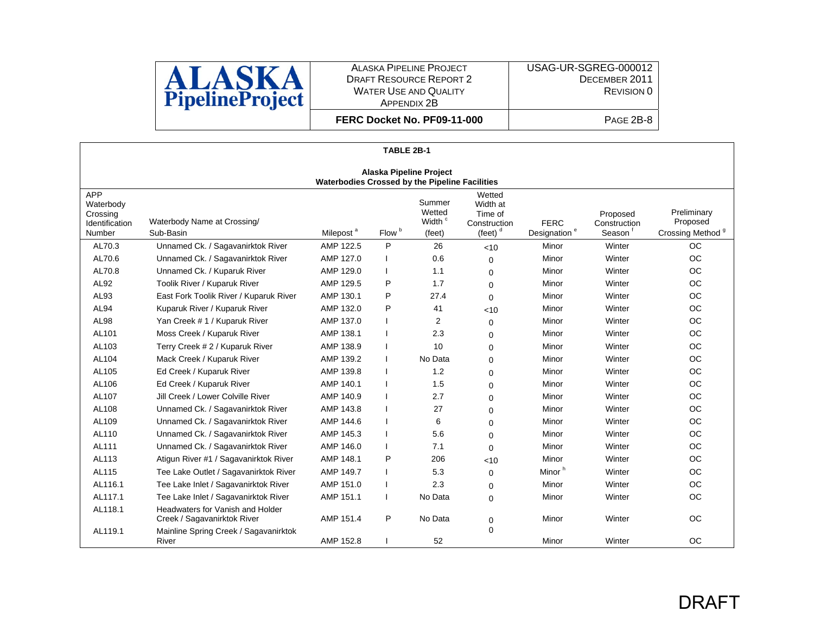

USAG-UR-SGREG-000012 DECEMBER 2011 REVISION 0

| FERC Docket No. PF09-11-000 |  |
|-----------------------------|--|
|-----------------------------|--|

| TABLE 2B-1                                                                       |                                                                 |                       |                   |                                                  |                                                             |                                         |                                    |                                                         |  |
|----------------------------------------------------------------------------------|-----------------------------------------------------------------|-----------------------|-------------------|--------------------------------------------------|-------------------------------------------------------------|-----------------------------------------|------------------------------------|---------------------------------------------------------|--|
| <b>Alaska Pipeline Project</b><br>Waterbodies Crossed by the Pipeline Facilities |                                                                 |                       |                   |                                                  |                                                             |                                         |                                    |                                                         |  |
| <b>APP</b><br>Waterbody<br>Crossing<br>Identification<br>Number                  | Waterbody Name at Crossing/<br>Sub-Basin                        | Milepost <sup>a</sup> | Flow <sup>b</sup> | Summer<br>Wetted<br>Width <sup>c</sup><br>(feet) | Wetted<br>Width at<br>Time of<br>Construction<br>(feet) $d$ | <b>FERC</b><br>Designation <sup>e</sup> | Proposed<br>Construction<br>Season | Preliminary<br>Proposed<br>Crossing Method <sup>9</sup> |  |
| AL70.3                                                                           | Unnamed Ck. / Sagavanirktok River                               | AMP 122.5             | P                 | 26                                               | < 10                                                        | Minor                                   | Winter                             | <b>OC</b>                                               |  |
| AL70.6                                                                           | Unnamed Ck. / Sagavanirktok River                               | AMP 127.0             |                   | 0.6                                              | $\Omega$                                                    | Minor                                   | Winter                             | <b>OC</b>                                               |  |
| AL70.8                                                                           | Unnamed Ck. / Kuparuk River                                     | AMP 129.0             |                   | 1.1                                              | $\Omega$                                                    | Minor                                   | Winter                             | <b>OC</b>                                               |  |
| AL92                                                                             | Toolik River / Kuparuk River                                    | AMP 129.5             | P                 | 1.7                                              | 0                                                           | Minor                                   | Winter                             | <b>OC</b>                                               |  |
| AL93                                                                             | East Fork Toolik River / Kuparuk River                          | AMP 130.1             | P                 | 27.4                                             | $\Omega$                                                    | Minor                                   | Winter                             | <b>OC</b>                                               |  |
| <b>AL94</b>                                                                      | Kuparuk River / Kuparuk River                                   | AMP 132.0             | P                 | 41                                               | < 10                                                        | Minor                                   | Winter                             | <b>OC</b>                                               |  |
| <b>AL98</b>                                                                      | Yan Creek # 1 / Kuparuk River                                   | AMP 137.0             |                   | $\overline{2}$                                   | $\Omega$                                                    | Minor                                   | Winter                             | <b>OC</b>                                               |  |
| AL101                                                                            | Moss Creek / Kuparuk River                                      | AMP 138.1             |                   | 2.3                                              | $\Omega$                                                    | Minor                                   | Winter                             | <b>OC</b>                                               |  |
| AL103                                                                            | Terry Creek # 2 / Kuparuk River                                 | AMP 138.9             |                   | 10                                               | $\Omega$                                                    | Minor                                   | Winter                             | <b>OC</b>                                               |  |
| AL104                                                                            | Mack Creek / Kuparuk River                                      | AMP 139.2             |                   | No Data                                          | $\Omega$                                                    | Minor                                   | Winter                             | <b>OC</b>                                               |  |
| AL105                                                                            | Ed Creek / Kuparuk River                                        | AMP 139.8             |                   | 1.2                                              | 0                                                           | Minor                                   | Winter                             | <b>OC</b>                                               |  |
| AL106                                                                            | Ed Creek / Kuparuk River                                        | AMP 140.1             |                   | 1.5                                              | $\Omega$                                                    | Minor                                   | Winter                             | <b>OC</b>                                               |  |
| AL107                                                                            | Jill Creek / Lower Colville River                               | AMP 140.9             |                   | 2.7                                              | 0                                                           | Minor                                   | Winter                             | <b>OC</b>                                               |  |
| AL108                                                                            | Unnamed Ck. / Sagavanirktok River                               | AMP 143.8             |                   | 27                                               | $\Omega$                                                    | Minor                                   | Winter                             | <b>OC</b>                                               |  |
| AL109                                                                            | Unnamed Ck. / Sagavanirktok River                               | AMP 144.6             |                   | 6                                                | $\Omega$                                                    | Minor                                   | Winter                             | <b>OC</b>                                               |  |
| AL110                                                                            | Unnamed Ck. / Sagavanirktok River                               | AMP 145.3             |                   | 5.6                                              | $\Omega$                                                    | Minor                                   | Winter                             | <b>OC</b>                                               |  |
| AL111                                                                            | Unnamed Ck. / Sagavanirktok River                               | AMP 146.0             |                   | 7.1                                              | 0                                                           | Minor                                   | Winter                             | <b>OC</b>                                               |  |
| AL113                                                                            | Atigun River #1 / Sagavanirktok River                           | AMP 148.1             | P                 | 206                                              | < 10                                                        | Minor                                   | Winter                             | <b>OC</b>                                               |  |
| AL115                                                                            | Tee Lake Outlet / Sagavanirktok River                           | AMP 149.7             |                   | 5.3                                              | $\Omega$                                                    | Minor <sup>h</sup>                      | Winter                             | <b>OC</b>                                               |  |
| AL116.1                                                                          | Tee Lake Inlet / Sagavanirktok River                            | AMP 151.0             |                   | 2.3                                              | $\Omega$                                                    | Minor                                   | Winter                             | <b>OC</b>                                               |  |
| AL117.1                                                                          | Tee Lake Inlet / Sagavanirktok River                            | AMP 151.1             |                   | No Data                                          | $\Omega$                                                    | Minor                                   | Winter                             | <b>OC</b>                                               |  |
| AL118.1                                                                          | Headwaters for Vanish and Holder<br>Creek / Sagavanirktok River | AMP 151.4             | P                 | No Data                                          | 0                                                           | Minor                                   | Winter                             | <b>OC</b>                                               |  |
| AL119.1                                                                          | Mainline Spring Creek / Sagavanirktok<br>River                  | AMP 152.8             |                   | 52                                               | $\Omega$                                                    | Minor                                   | Winter                             | <b>OC</b>                                               |  |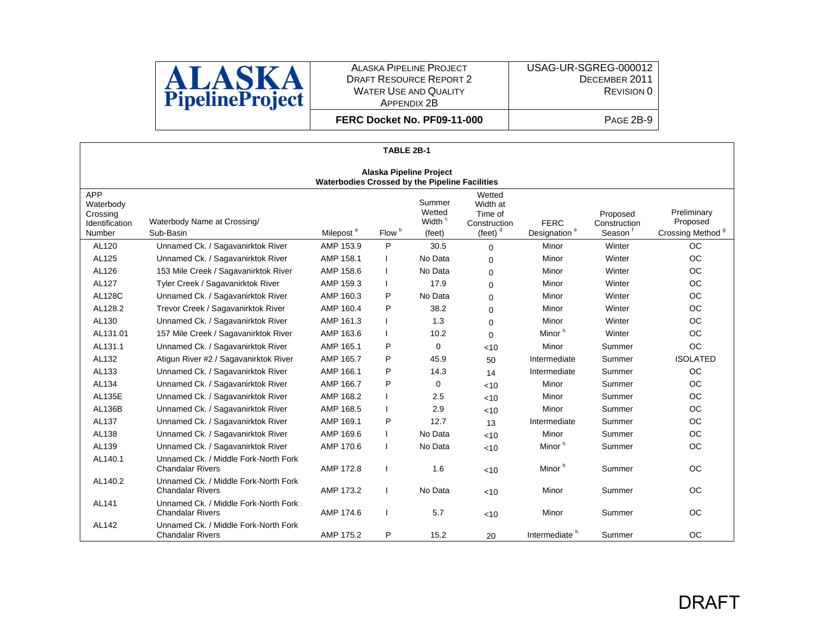

USAG-UR-SGREG-000012 DECEMBER 2011 REVISION 0

| FERC Docket No. PF09-11-000 |  |
|-----------------------------|--|
|-----------------------------|--|

|                                                                 |                                                                                  |                       | TABLE 2B-1        |                                                  |                                                             |                                         |                                    |                                                         |  |  |  |  |
|-----------------------------------------------------------------|----------------------------------------------------------------------------------|-----------------------|-------------------|--------------------------------------------------|-------------------------------------------------------------|-----------------------------------------|------------------------------------|---------------------------------------------------------|--|--|--|--|
|                                                                 | <b>Alaska Pipeline Project</b><br>Waterbodies Crossed by the Pipeline Facilities |                       |                   |                                                  |                                                             |                                         |                                    |                                                         |  |  |  |  |
| <b>APP</b><br>Waterbody<br>Crossing<br>Identification<br>Number | Waterbody Name at Crossing/<br>Sub-Basin                                         | Milepost <sup>a</sup> | Flow <sup>b</sup> | Summer<br>Wetted<br>Width <sup>c</sup><br>(feet) | Wetted<br>Width at<br>Time of<br>Construction<br>(feet) $d$ | <b>FERC</b><br>Designation <sup>e</sup> | Proposed<br>Construction<br>Season | Preliminary<br>Proposed<br>Crossing Method <sup>9</sup> |  |  |  |  |
| AL120                                                           | Unnamed Ck. / Sagavanirktok River                                                | AMP 153.9             | P                 | 30.5                                             | $\Omega$                                                    | Minor                                   | Winter                             | <b>OC</b>                                               |  |  |  |  |
| AL125                                                           | Unnamed Ck. / Sagavanirktok River                                                | AMP 158.1             |                   | No Data                                          | $\Omega$                                                    | Minor                                   | Winter                             | <b>OC</b>                                               |  |  |  |  |
| AL126                                                           | 153 Mile Creek / Sagavanirktok River                                             | AMP 158.6             |                   | No Data                                          | $\Omega$                                                    | Minor                                   | Winter                             | <b>OC</b>                                               |  |  |  |  |
| AL127                                                           | Tyler Creek / Sagavanirktok River                                                | AMP 159.3             |                   | 17.9                                             | $\Omega$                                                    | Minor                                   | Winter                             | <b>OC</b>                                               |  |  |  |  |
| <b>AL128C</b>                                                   | Unnamed Ck. / Sagavanirktok River                                                | AMP 160.3             | P                 | No Data                                          | $\Omega$                                                    | Minor                                   | Winter                             | <b>OC</b>                                               |  |  |  |  |
| AL128.2                                                         | Trevor Creek / Sagavanirktok River                                               | AMP 160.4             | P                 | 38.2                                             | $\Omega$                                                    | Minor                                   | Winter                             | <b>OC</b>                                               |  |  |  |  |
| AL130                                                           | Unnamed Ck. / Sagavanirktok River                                                | AMP 161.3             |                   | 1.3                                              | $\Omega$                                                    | Minor                                   | Winter                             | <b>OC</b>                                               |  |  |  |  |
| AL131.01                                                        | 157 Mile Creek / Sagavanirktok River                                             | AMP 163.6             |                   | 10.2                                             | $\Omega$                                                    | Minor <sup>h</sup>                      | Winter                             | <b>OC</b>                                               |  |  |  |  |
| AL131.1                                                         | Unnamed Ck. / Sagavanirktok River                                                | AMP 165.1             | P                 | 0                                                | < 10                                                        | Minor                                   | Summer                             | <b>OC</b>                                               |  |  |  |  |
| AL132                                                           | Atigun River #2 / Sagavanirktok River                                            | AMP 165.7             | P                 | 45.9                                             | 50                                                          | Intermediate                            | Summer                             | <b>ISOLATED</b>                                         |  |  |  |  |
| AL133                                                           | Unnamed Ck. / Sagavanirktok River                                                | AMP 166.1             | P                 | 14.3                                             | 14                                                          | Intermediate                            | Summer                             | <b>OC</b>                                               |  |  |  |  |
| AL134                                                           | Unnamed Ck. / Sagavanirktok River                                                | AMP 166.7             | P                 | 0                                                | < 10                                                        | Minor                                   | Summer                             | <b>OC</b>                                               |  |  |  |  |
| <b>AL135E</b>                                                   | Unnamed Ck. / Sagavanirktok River                                                | AMP 168.2             |                   | 2.5                                              | < 10                                                        | Minor                                   | Summer                             | <b>OC</b>                                               |  |  |  |  |
| <b>AL136B</b>                                                   | Unnamed Ck. / Sagavanirktok River                                                | AMP 168.5             |                   | 2.9                                              | < 10                                                        | Minor                                   | Summer                             | <b>OC</b>                                               |  |  |  |  |
| AL137                                                           | Unnamed Ck. / Sagavanirktok River                                                | AMP 169.1             | P                 | 12.7                                             | 13                                                          | Intermediate                            | Summer                             | <b>OC</b>                                               |  |  |  |  |
| AL138                                                           | Unnamed Ck. / Sagavanirktok River                                                | AMP 169.6             |                   | No Data                                          | < 10                                                        | Minor                                   | Summer                             | <b>OC</b>                                               |  |  |  |  |
| AL139                                                           | Unnamed Ck. / Sagavanirktok River                                                | AMP 170.6             |                   | No Data                                          | $<$ 10                                                      | Minor <sup>h</sup>                      | Summer                             | <b>OC</b>                                               |  |  |  |  |
| AL140.1                                                         | Unnamed Ck. / Middle Fork-North Fork<br><b>Chandalar Rivers</b>                  | AMP 172.8             |                   | 1.6                                              | $<$ 10                                                      | Minor <sup>h</sup>                      | Summer                             | <b>OC</b>                                               |  |  |  |  |
| AL140.2                                                         | Unnamed Ck. / Middle Fork-North Fork<br><b>Chandalar Rivers</b>                  | AMP 173.2             |                   | No Data                                          | < 10                                                        | Minor                                   | Summer                             | <b>OC</b>                                               |  |  |  |  |
| AL141                                                           | Unnamed Ck. / Middle Fork-North Fork<br><b>Chandalar Rivers</b>                  | AMP 174.6             |                   | 5.7                                              | < 10                                                        | Minor                                   | Summer                             | <b>OC</b>                                               |  |  |  |  |
| AL142                                                           | Unnamed Ck. / Middle Fork-North Fork<br><b>Chandalar Rivers</b>                  | AMP 175.2             | P                 | 15.2                                             | 20                                                          | Intermediate <sup>h</sup>               | Summer                             | <b>OC</b>                                               |  |  |  |  |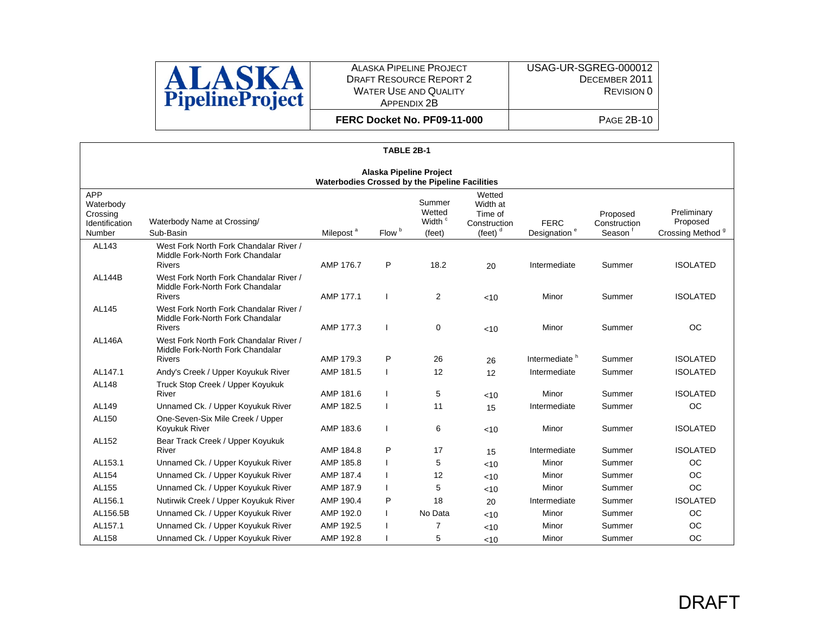

**FERC Docket No. PF09-11-000**

 DECEMBER 2011 REVISION 0 PAGE 2B-10

USAG-UR-SGREG-000012

|                                                                 | TABLE 2B-1                                                                                  |                       |                   |                                                  |                                                              |                                         |                                    |                                                         |  |  |  |  |
|-----------------------------------------------------------------|---------------------------------------------------------------------------------------------|-----------------------|-------------------|--------------------------------------------------|--------------------------------------------------------------|-----------------------------------------|------------------------------------|---------------------------------------------------------|--|--|--|--|
|                                                                 | <b>Alaska Pipeline Project</b><br>Waterbodies Crossed by the Pipeline Facilities            |                       |                   |                                                  |                                                              |                                         |                                    |                                                         |  |  |  |  |
| <b>APP</b><br>Waterbody<br>Crossing<br>Identification<br>Number | Waterbody Name at Crossing/<br>Sub-Basin                                                    | Milepost <sup>a</sup> | Flow <sup>b</sup> | Summer<br>Wetted<br>Width <sup>c</sup><br>(feet) | Wetted<br>Width at<br>Time of<br>Construction<br>(feet) $^d$ | <b>FERC</b><br>Designation <sup>e</sup> | Proposed<br>Construction<br>Season | Preliminary<br>Proposed<br>Crossing Method <sup>9</sup> |  |  |  |  |
| AL143                                                           | West Fork North Fork Chandalar River /<br>Middle Fork-North Fork Chandalar<br><b>Rivers</b> | AMP 176.7             | P                 | 18.2                                             | 20                                                           | Intermediate                            | Summer                             | <b>ISOLATED</b>                                         |  |  |  |  |
| <b>AL144B</b>                                                   | West Fork North Fork Chandalar River /<br>Middle Fork-North Fork Chandalar<br><b>Rivers</b> | AMP 177.1             |                   | 2                                                | $<$ 10                                                       | Minor                                   | Summer                             | <b>ISOLATED</b>                                         |  |  |  |  |
| AL145                                                           | West Fork North Fork Chandalar River /<br>Middle Fork-North Fork Chandalar<br><b>Rivers</b> | AMP 177.3             |                   | $\mathbf 0$                                      | $<$ 10                                                       | Minor                                   | Summer                             | <b>OC</b>                                               |  |  |  |  |
| <b>AL146A</b>                                                   | West Fork North Fork Chandalar River /<br>Middle Fork-North Fork Chandalar<br><b>Rivers</b> | AMP 179.3             | P                 | 26                                               | 26                                                           | Intermediate <sup>h</sup>               | Summer                             | <b>ISOLATED</b>                                         |  |  |  |  |
| AL147.1                                                         | Andy's Creek / Upper Koyukuk River                                                          | AMP 181.5             |                   | 12                                               | 12                                                           | Intermediate                            | Summer                             | <b>ISOLATED</b>                                         |  |  |  |  |
| AL148                                                           | Truck Stop Creek / Upper Koyukuk<br>River                                                   | AMP 181.6             |                   | 5                                                | <10                                                          | Minor                                   | Summer                             | <b>ISOLATED</b>                                         |  |  |  |  |
| AL149                                                           | Unnamed Ck. / Upper Koyukuk River                                                           | AMP 182.5             |                   | 11                                               | 15                                                           | Intermediate                            | Summer                             | <b>OC</b>                                               |  |  |  |  |
| AL150                                                           | One-Seven-Six Mile Creek / Upper<br>Koyukuk River                                           | AMP 183.6             |                   | 6                                                | <10                                                          | Minor                                   | Summer                             | <b>ISOLATED</b>                                         |  |  |  |  |
| AL152                                                           | Bear Track Creek / Upper Koyukuk<br>River                                                   | AMP 184.8             | P                 | 17                                               | 15                                                           | Intermediate                            | Summer                             | <b>ISOLATED</b>                                         |  |  |  |  |
| AL153.1                                                         | Unnamed Ck. / Upper Koyukuk River                                                           | AMP 185.8             |                   | 5                                                | < 10                                                         | Minor                                   | Summer                             | <b>OC</b>                                               |  |  |  |  |
| AL154                                                           | Unnamed Ck. / Upper Koyukuk River                                                           | AMP 187.4             |                   | 12                                               | <10                                                          | Minor                                   | Summer                             | <b>OC</b>                                               |  |  |  |  |
| AL155                                                           | Unnamed Ck. / Upper Koyukuk River                                                           | AMP 187.9             |                   | 5                                                | <10                                                          | Minor                                   | Summer                             | <b>OC</b>                                               |  |  |  |  |
| AL156.1                                                         | Nutirwik Creek / Upper Koyukuk River                                                        | AMP 190.4             | P                 | 18                                               | 20                                                           | Intermediate                            | Summer                             | <b>ISOLATED</b>                                         |  |  |  |  |
| AL156.5B                                                        | Unnamed Ck. / Upper Koyukuk River                                                           | AMP 192.0             |                   | No Data                                          | <10                                                          | Minor                                   | Summer                             | <b>OC</b>                                               |  |  |  |  |
| AL157.1                                                         | Unnamed Ck. / Upper Koyukuk River                                                           | AMP 192.5             |                   | 7                                                | < 10                                                         | Minor                                   | Summer                             | <b>OC</b>                                               |  |  |  |  |
| AL158                                                           | Unnamed Ck. / Upper Koyukuk River                                                           | AMP 192.8             |                   | 5                                                | < 10                                                         | Minor                                   | Summer                             | <b>OC</b>                                               |  |  |  |  |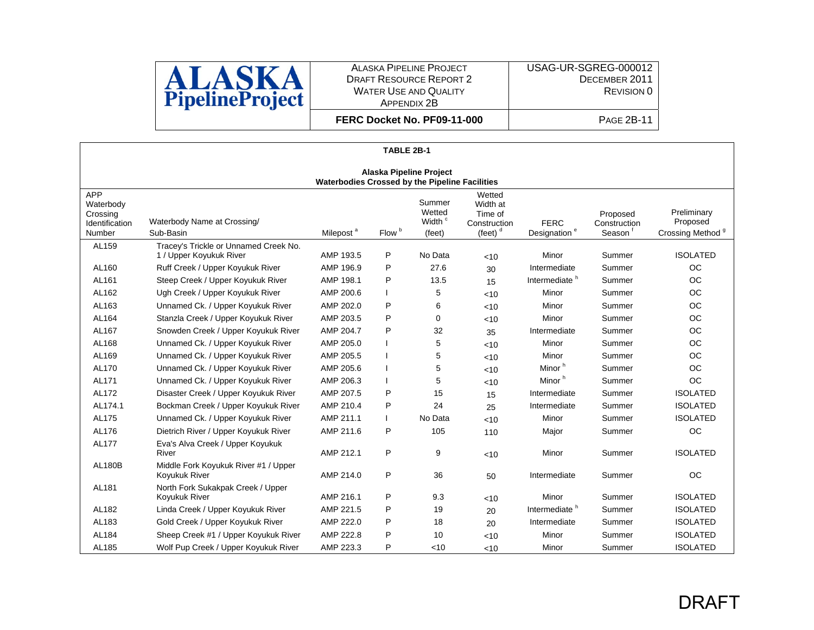

**FERC Docket No. PF09-11-000**

|                                                                 | TABLE 2B-1                                                                              |                       |                   |                                                  |                                                             |                                         |                                                 |                                                         |  |  |  |  |
|-----------------------------------------------------------------|-----------------------------------------------------------------------------------------|-----------------------|-------------------|--------------------------------------------------|-------------------------------------------------------------|-----------------------------------------|-------------------------------------------------|---------------------------------------------------------|--|--|--|--|
|                                                                 | <b>Alaska Pipeline Project</b><br><b>Waterbodies Crossed by the Pipeline Facilities</b> |                       |                   |                                                  |                                                             |                                         |                                                 |                                                         |  |  |  |  |
| <b>APP</b><br>Waterbody<br>Crossing<br>Identification<br>Number | Waterbody Name at Crossing/<br>Sub-Basin                                                | Milepost <sup>a</sup> | Flow <sup>b</sup> | Summer<br>Wetted<br>Width <sup>c</sup><br>(feet) | Wetted<br>Width at<br>Time of<br>Construction<br>(feet) $d$ | <b>FERC</b><br>Designation <sup>e</sup> | Proposed<br>Construction<br>Season <sup>t</sup> | Preliminary<br>Proposed<br>Crossing Method <sup>9</sup> |  |  |  |  |
| AL159                                                           | Tracey's Trickle or Unnamed Creek No.                                                   | AMP 193.5             | P                 | No Data                                          |                                                             | Minor                                   | Summer                                          | <b>ISOLATED</b>                                         |  |  |  |  |
| AL160                                                           | 1 / Upper Koyukuk River<br>Ruff Creek / Upper Koyukuk River                             | AMP 196.9             | P                 | 27.6                                             | $<$ 10                                                      | Intermediate                            | Summer                                          | OC                                                      |  |  |  |  |
| AL161                                                           | Steep Creek / Upper Koyukuk River                                                       | AMP 198.1             | P                 | 13.5                                             | 30                                                          | Intermediate <sup>h</sup>               | Summer                                          | <b>OC</b>                                               |  |  |  |  |
| AL162                                                           | Ugh Creek / Upper Koyukuk River                                                         | AMP 200.6             |                   | 5                                                | 15                                                          | Minor                                   | Summer                                          | OC                                                      |  |  |  |  |
| AL163                                                           | Unnamed Ck. / Upper Koyukuk River                                                       | AMP 202.0             | P                 | 6                                                | <10                                                         | Minor                                   | Summer                                          | <b>OC</b>                                               |  |  |  |  |
| AL164                                                           | Stanzla Creek / Upper Koyukuk River                                                     | AMP 203.5             | P                 | 0                                                | <10                                                         | Minor                                   | Summer                                          | OC                                                      |  |  |  |  |
| AL167                                                           | Snowden Creek / Upper Koyukuk River                                                     | AMP 204.7             | P                 | 32                                               | <10                                                         | Intermediate                            | Summer                                          | <b>OC</b>                                               |  |  |  |  |
| AL168                                                           | Unnamed Ck. / Upper Koyukuk River                                                       | AMP 205.0             |                   | 5                                                | 35                                                          | Minor                                   | Summer                                          | OC                                                      |  |  |  |  |
| AL169                                                           | Unnamed Ck. / Upper Koyukuk River                                                       | AMP 205.5             |                   | 5                                                | <10                                                         | Minor                                   | Summer                                          | <b>OC</b>                                               |  |  |  |  |
| AL170                                                           | Unnamed Ck. / Upper Koyukuk River                                                       | AMP 205.6             |                   | 5                                                | <10<br><10                                                  | Minor <sup>h</sup>                      | Summer                                          | <b>OC</b>                                               |  |  |  |  |
| AL171                                                           | Unnamed Ck. / Upper Koyukuk River                                                       | AMP 206.3             |                   | 5                                                |                                                             | Minor <sup>h</sup>                      | Summer                                          | <b>OC</b>                                               |  |  |  |  |
| AL172                                                           | Disaster Creek / Upper Koyukuk River                                                    | AMP 207.5             | P                 | 15                                               | <10<br>15                                                   | Intermediate                            | Summer                                          | <b>ISOLATED</b>                                         |  |  |  |  |
| AL174.1                                                         | Bockman Creek / Upper Koyukuk River                                                     | AMP 210.4             | P                 | 24                                               | 25                                                          | Intermediate                            | Summer                                          | <b>ISOLATED</b>                                         |  |  |  |  |
| AL175                                                           | Unnamed Ck. / Upper Koyukuk River                                                       | AMP 211.1             |                   | No Data                                          | <10                                                         | Minor                                   | Summer                                          | <b>ISOLATED</b>                                         |  |  |  |  |
| AL176                                                           | Dietrich River / Upper Koyukuk River                                                    | AMP 211.6             | P                 | 105                                              | 110                                                         | Major                                   | Summer                                          | <b>OC</b>                                               |  |  |  |  |
| AL177                                                           | Eva's Alva Creek / Upper Koyukuk<br>River                                               | AMP 212.1             | P                 | 9                                                | <10                                                         | Minor                                   | Summer                                          | <b>ISOLATED</b>                                         |  |  |  |  |
| <b>AL180B</b>                                                   | Middle Fork Koyukuk River #1 / Upper<br>Koyukuk River                                   | AMP 214.0             | P                 | 36                                               | 50                                                          | Intermediate                            | Summer                                          | <b>OC</b>                                               |  |  |  |  |
| AL181                                                           | North Fork Sukakpak Creek / Upper<br>Koyukuk River                                      | AMP 216.1             | P                 | 9.3                                              | $<$ 10                                                      | Minor                                   | Summer                                          | <b>ISOLATED</b>                                         |  |  |  |  |
| AL182                                                           | Linda Creek / Upper Koyukuk River                                                       | AMP 221.5             | P                 | 19                                               | 20                                                          | Intermediate <sup>h</sup>               | Summer                                          | <b>ISOLATED</b>                                         |  |  |  |  |
| AL183                                                           | Gold Creek / Upper Koyukuk River                                                        | AMP 222.0             | P                 | 18                                               | 20                                                          | Intermediate                            | Summer                                          | <b>ISOLATED</b>                                         |  |  |  |  |
| AL184                                                           | Sheep Creek #1 / Upper Koyukuk River                                                    | AMP 222.8             | P                 | 10                                               | $<$ 10                                                      | Minor                                   | Summer                                          | <b>ISOLATED</b>                                         |  |  |  |  |
| AL185                                                           | Wolf Pup Creek / Upper Koyukuk River                                                    | AMP 223.3             | P                 | < 10                                             | $<$ 10                                                      | Minor                                   | Summer                                          | <b>ISOLATED</b>                                         |  |  |  |  |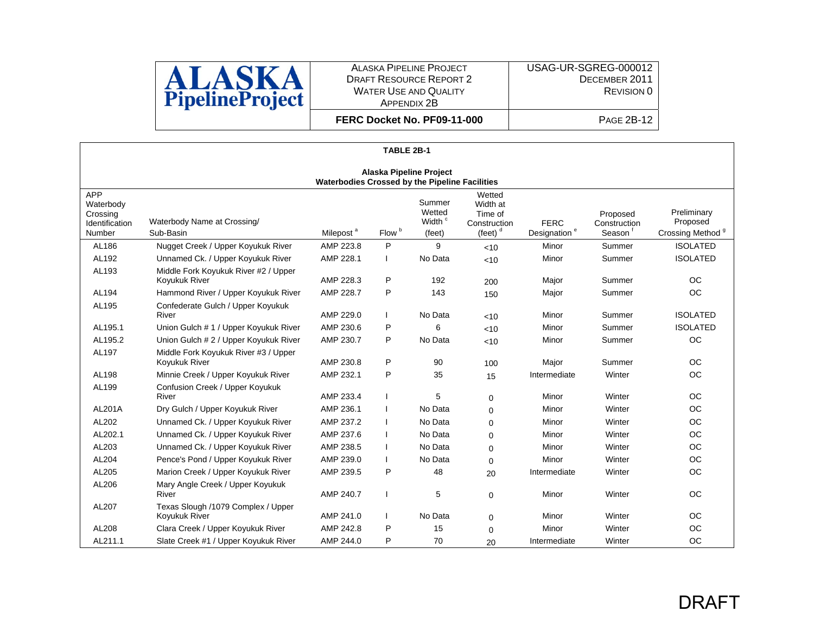

**FERC Docket No. PF09-11-000**

|                                                          | TABLE 2B-1                                                                       |                       |                   |                                                  |                                                             |                                         |                                                 |                                                         |  |  |  |  |
|----------------------------------------------------------|----------------------------------------------------------------------------------|-----------------------|-------------------|--------------------------------------------------|-------------------------------------------------------------|-----------------------------------------|-------------------------------------------------|---------------------------------------------------------|--|--|--|--|
|                                                          | <b>Alaska Pipeline Project</b><br>Waterbodies Crossed by the Pipeline Facilities |                       |                   |                                                  |                                                             |                                         |                                                 |                                                         |  |  |  |  |
| APP<br>Waterbody<br>Crossing<br>Identification<br>Number | Waterbody Name at Crossing/<br>Sub-Basin                                         | Milepost <sup>a</sup> | Flow <sup>b</sup> | Summer<br>Wetted<br>Width <sup>c</sup><br>(feet) | Wetted<br>Width at<br>Time of<br>Construction<br>(feet) $d$ | <b>FERC</b><br>Designation <sup>e</sup> | Proposed<br>Construction<br>Season <sup>1</sup> | Preliminary<br>Proposed<br>Crossing Method <sup>9</sup> |  |  |  |  |
| AL186                                                    | Nugget Creek / Upper Koyukuk River                                               | AMP 223.8             | P                 | 9                                                | <10                                                         | Minor                                   | Summer                                          | <b>ISOLATED</b>                                         |  |  |  |  |
| AL192                                                    | Unnamed Ck. / Upper Koyukuk River                                                | AMP 228.1             |                   | No Data                                          | <10                                                         | Minor                                   | Summer                                          | <b>ISOLATED</b>                                         |  |  |  |  |
| AL193                                                    | Middle Fork Koyukuk River #2 / Upper<br>Koyukuk River                            | AMP 228.3             | P                 | 192                                              | 200                                                         | Major                                   | Summer                                          | <b>OC</b>                                               |  |  |  |  |
| AL194                                                    | Hammond River / Upper Koyukuk River                                              | AMP 228.7             | P                 | 143                                              | 150                                                         | Major                                   | Summer                                          | OC                                                      |  |  |  |  |
| AL195                                                    | Confederate Gulch / Upper Koyukuk<br>River                                       | AMP 229.0             |                   | No Data                                          | <10                                                         | Minor                                   | Summer                                          | <b>ISOLATED</b>                                         |  |  |  |  |
| AL195.1                                                  | Union Gulch # 1 / Upper Koyukuk River                                            | AMP 230.6             | P                 | 6                                                | <10                                                         | Minor                                   | Summer                                          | <b>ISOLATED</b>                                         |  |  |  |  |
| AL195.2                                                  | Union Gulch # 2 / Upper Koyukuk River                                            | AMP 230.7             | P                 | No Data                                          | < 10                                                        | Minor                                   | Summer                                          | <b>OC</b>                                               |  |  |  |  |
| AL197                                                    | Middle Fork Koyukuk River #3 / Upper<br>Koyukuk River                            | AMP 230.8             | P                 | 90                                               | 100                                                         | Major                                   | Summer                                          | <b>OC</b>                                               |  |  |  |  |
| AL198                                                    | Minnie Creek / Upper Koyukuk River                                               | AMP 232.1             | P                 | 35                                               | 15                                                          | Intermediate                            | Winter                                          | OC                                                      |  |  |  |  |
| AL199                                                    | Confusion Creek / Upper Koyukuk<br>River                                         | AMP 233.4             |                   | 5                                                | $\Omega$                                                    | Minor                                   | Winter                                          | <b>OC</b>                                               |  |  |  |  |
| <b>AL201A</b>                                            | Dry Gulch / Upper Koyukuk River                                                  | AMP 236.1             |                   | No Data                                          | $\Omega$                                                    | Minor                                   | Winter                                          | <b>OC</b>                                               |  |  |  |  |
| AL202                                                    | Unnamed Ck. / Upper Koyukuk River                                                | AMP 237.2             |                   | No Data                                          | 0                                                           | Minor                                   | Winter                                          | <b>OC</b>                                               |  |  |  |  |
| AL202.1                                                  | Unnamed Ck. / Upper Koyukuk River                                                | AMP 237.6             |                   | No Data                                          | $\Omega$                                                    | Minor                                   | Winter                                          | <b>OC</b>                                               |  |  |  |  |
| AL203                                                    | Unnamed Ck. / Upper Koyukuk River                                                | AMP 238.5             |                   | No Data                                          | $\Omega$                                                    | Minor                                   | Winter                                          | <b>OC</b>                                               |  |  |  |  |
| AL204                                                    | Pence's Pond / Upper Koyukuk River                                               | AMP 239.0             |                   | No Data                                          | $\Omega$                                                    | Minor                                   | Winter                                          | OC                                                      |  |  |  |  |
| AL205                                                    | Marion Creek / Upper Koyukuk River                                               | AMP 239.5             | P                 | 48                                               | 20                                                          | Intermediate                            | Winter                                          | <b>OC</b>                                               |  |  |  |  |
| AL206                                                    | Mary Angle Creek / Upper Koyukuk<br>River                                        | AMP 240.7             |                   | 5                                                | $\Omega$                                                    | Minor                                   | Winter                                          | <b>OC</b>                                               |  |  |  |  |
| AL207                                                    | Texas Slough /1079 Complex / Upper<br>Koyukuk River                              | AMP 241.0             |                   | No Data                                          | $\Omega$                                                    | Minor                                   | Winter                                          | <b>OC</b>                                               |  |  |  |  |
| AL208                                                    | Clara Creek / Upper Koyukuk River                                                | AMP 242.8             | P                 | 15                                               | $\Omega$                                                    | Minor                                   | Winter                                          | OC                                                      |  |  |  |  |
| AL211.1                                                  | Slate Creek #1 / Upper Koyukuk River                                             | AMP 244.0             | P                 | 70                                               | 20                                                          | Intermediate                            | Winter                                          | <b>OC</b>                                               |  |  |  |  |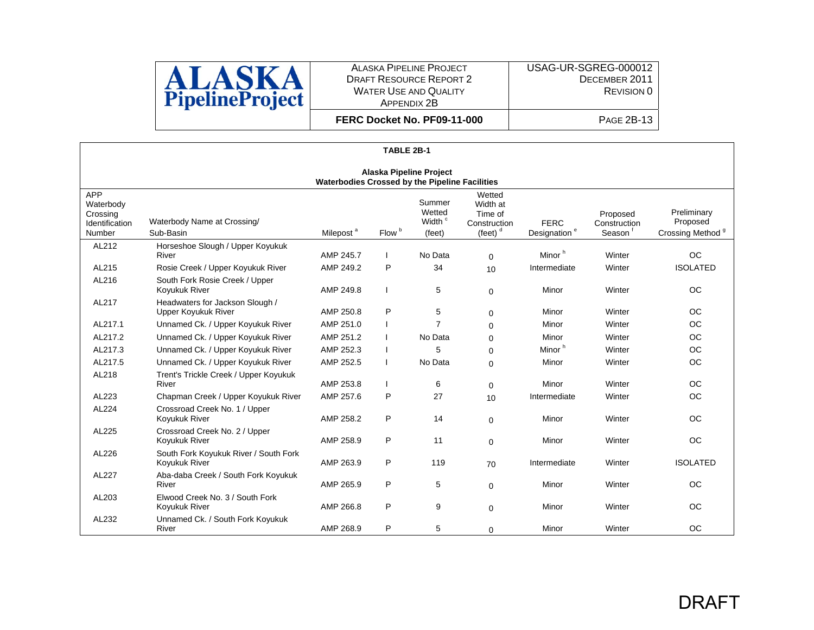

**FERC Docket No. PF09-11-000**

|                                                                 | TABLE 2B-1                                                                       |                       |                   |                                                  |                                                             |                                         |                                    |                                                         |  |  |  |  |
|-----------------------------------------------------------------|----------------------------------------------------------------------------------|-----------------------|-------------------|--------------------------------------------------|-------------------------------------------------------------|-----------------------------------------|------------------------------------|---------------------------------------------------------|--|--|--|--|
|                                                                 | <b>Alaska Pipeline Project</b><br>Waterbodies Crossed by the Pipeline Facilities |                       |                   |                                                  |                                                             |                                         |                                    |                                                         |  |  |  |  |
| <b>APP</b><br>Waterbody<br>Crossing<br>Identification<br>Number | Waterbody Name at Crossing/<br>Sub-Basin                                         | Milepost <sup>a</sup> | Flow <sup>b</sup> | Summer<br>Wetted<br>Width <sup>c</sup><br>(feet) | Wetted<br>Width at<br>Time of<br>Construction<br>(feet) $d$ | <b>FERC</b><br>Designation <sup>e</sup> | Proposed<br>Construction<br>Season | Preliminary<br>Proposed<br>Crossing Method <sup>9</sup> |  |  |  |  |
| AL212                                                           | Horseshoe Slough / Upper Koyukuk<br>River                                        | AMP 245.7             |                   | No Data                                          | $\Omega$                                                    | Minor <sup>h</sup>                      | Winter                             | <b>OC</b>                                               |  |  |  |  |
| AL215                                                           | Rosie Creek / Upper Koyukuk River                                                | AMP 249.2             | P                 | 34                                               | 10                                                          | Intermediate                            | Winter                             | <b>ISOLATED</b>                                         |  |  |  |  |
| AL216                                                           | South Fork Rosie Creek / Upper<br>Koyukuk River                                  | AMP 249.8             |                   | 5                                                | $\mathbf 0$                                                 | Minor                                   | Winter                             | <b>OC</b>                                               |  |  |  |  |
| AL217                                                           | Headwaters for Jackson Slough /<br><b>Upper Koyukuk River</b>                    | AMP 250.8             | P                 | 5                                                | $\Omega$                                                    | Minor                                   | Winter                             | <b>OC</b>                                               |  |  |  |  |
| AL217.1                                                         | Unnamed Ck. / Upper Koyukuk River                                                | AMP 251.0             |                   | $\overline{7}$                                   | $\Omega$                                                    | Minor                                   | Winter                             | <b>OC</b>                                               |  |  |  |  |
| AL217.2                                                         | Unnamed Ck. / Upper Koyukuk River                                                | AMP 251.2             |                   | No Data                                          | $\Omega$                                                    | Minor                                   | Winter                             | <b>OC</b>                                               |  |  |  |  |
| AL217.3                                                         | Unnamed Ck. / Upper Koyukuk River                                                | AMP 252.3             |                   | 5                                                | $\Omega$                                                    | Minor <sup>h</sup>                      | Winter                             | <b>OC</b>                                               |  |  |  |  |
| AL217.5                                                         | Unnamed Ck. / Upper Koyukuk River                                                | AMP 252.5             |                   | No Data                                          | $\Omega$                                                    | Minor                                   | Winter                             | <b>OC</b>                                               |  |  |  |  |
| AL218                                                           | Trent's Trickle Creek / Upper Koyukuk<br>River                                   | AMP 253.8             |                   | 6                                                | $\Omega$                                                    | Minor                                   | Winter                             | <b>OC</b>                                               |  |  |  |  |
| AL223                                                           | Chapman Creek / Upper Koyukuk River                                              | AMP 257.6             | P                 | 27                                               | 10                                                          | Intermediate                            | Winter                             | <b>OC</b>                                               |  |  |  |  |
| AL224                                                           | Crossroad Creek No. 1 / Upper<br>Koyukuk River                                   | AMP 258.2             | P                 | 14                                               | $\Omega$                                                    | Minor                                   | Winter                             | <b>OC</b>                                               |  |  |  |  |
| AL225                                                           | Crossroad Creek No. 2 / Upper<br>Koyukuk River                                   | AMP 258.9             | P                 | 11                                               | $\Omega$                                                    | Minor                                   | Winter                             | <b>OC</b>                                               |  |  |  |  |
| AL226                                                           | South Fork Koyukuk River / South Fork<br>Koyukuk River                           | AMP 263.9             | P                 | 119                                              | 70                                                          | Intermediate                            | Winter                             | <b>ISOLATED</b>                                         |  |  |  |  |
| AL227                                                           | Aba-daba Creek / South Fork Koyukuk<br>River                                     | AMP 265.9             | P                 | 5                                                | $\Omega$                                                    | Minor                                   | Winter                             | <b>OC</b>                                               |  |  |  |  |
| AL203                                                           | Elwood Creek No. 3 / South Fork<br>Koyukuk River                                 | AMP 266.8             | P                 | 9                                                | $\Omega$                                                    | Minor                                   | Winter                             | <b>OC</b>                                               |  |  |  |  |
| AL232                                                           | Unnamed Ck. / South Fork Koyukuk<br>River                                        | AMP 268.9             | P                 | 5                                                | 0                                                           | Minor                                   | Winter                             | <b>OC</b>                                               |  |  |  |  |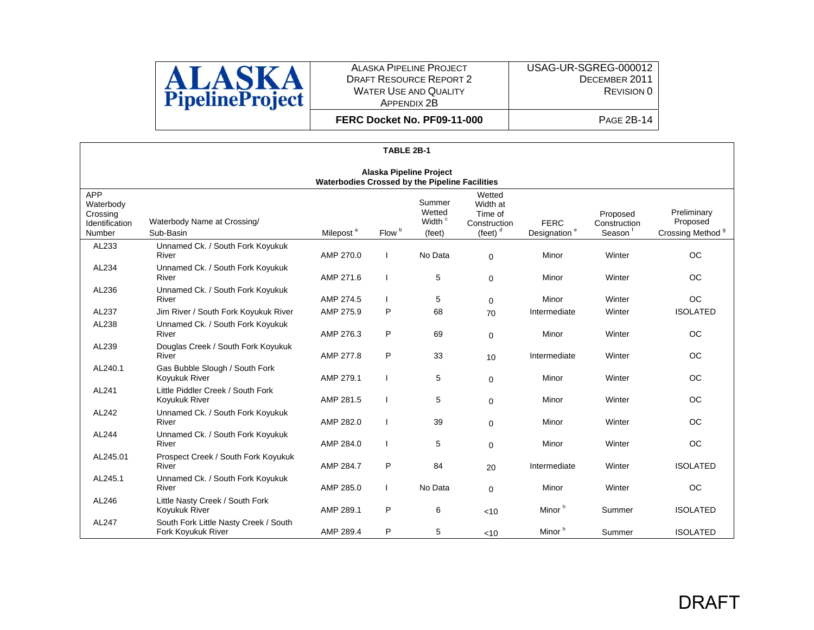

**FERC Docket No. PF09-11-000**

|                                                          | TABLE 2B-1                                                                              |                       |                   |                                                  |                                                             |                                         |                                    |                                                         |  |  |  |  |
|----------------------------------------------------------|-----------------------------------------------------------------------------------------|-----------------------|-------------------|--------------------------------------------------|-------------------------------------------------------------|-----------------------------------------|------------------------------------|---------------------------------------------------------|--|--|--|--|
|                                                          | <b>Alaska Pipeline Project</b><br><b>Waterbodies Crossed by the Pipeline Facilities</b> |                       |                   |                                                  |                                                             |                                         |                                    |                                                         |  |  |  |  |
| APP<br>Waterbody<br>Crossing<br>Identification<br>Number | Waterbody Name at Crossing/<br>Sub-Basin                                                | Milepost <sup>a</sup> | Flow <sup>b</sup> | Summer<br>Wetted<br>Width <sup>c</sup><br>(feet) | Wetted<br>Width at<br>Time of<br>Construction<br>(feet) $d$ | <b>FERC</b><br>Designation <sup>e</sup> | Proposed<br>Construction<br>Season | Preliminary<br>Proposed<br>Crossing Method <sup>9</sup> |  |  |  |  |
| AL233                                                    | Unnamed Ck. / South Fork Koyukuk<br>River                                               | AMP 270.0             |                   | No Data                                          | 0                                                           | Minor                                   | Winter                             | <b>OC</b>                                               |  |  |  |  |
| AL234                                                    | Unnamed Ck. / South Fork Koyukuk<br>River                                               | AMP 271.6             |                   | 5                                                | 0                                                           | Minor                                   | Winter                             | <b>OC</b>                                               |  |  |  |  |
| AL236                                                    | Unnamed Ck. / South Fork Koyukuk<br>River                                               | AMP 274.5             |                   | 5                                                | $\mathbf 0$                                                 | Minor                                   | Winter                             | <b>OC</b>                                               |  |  |  |  |
| AL237                                                    | Jim River / South Fork Koyukuk River                                                    | AMP 275.9             | P                 | 68                                               | 70                                                          | Intermediate                            | Winter                             | <b>ISOLATED</b>                                         |  |  |  |  |
| AL238                                                    | Unnamed Ck. / South Fork Koyukuk<br>River                                               | AMP 276.3             | P                 | 69                                               | 0                                                           | Minor                                   | Winter                             | <b>OC</b>                                               |  |  |  |  |
| AL239                                                    | Douglas Creek / South Fork Koyukuk<br>River                                             | AMP 277.8             | P                 | 33                                               | 10                                                          | Intermediate                            | Winter                             | <b>OC</b>                                               |  |  |  |  |
| AL240.1                                                  | Gas Bubble Slough / South Fork<br>Koyukuk River                                         | AMP 279.1             |                   | 5                                                | $\mathbf 0$                                                 | Minor                                   | Winter                             | <b>OC</b>                                               |  |  |  |  |
| AL241                                                    | Little Piddler Creek / South Fork<br>Koyukuk River                                      | AMP 281.5             |                   | 5                                                | 0                                                           | Minor                                   | Winter                             | <b>OC</b>                                               |  |  |  |  |
| AL242                                                    | Unnamed Ck. / South Fork Koyukuk<br>River                                               | AMP 282.0             |                   | 39                                               | $\mathbf 0$                                                 | Minor                                   | Winter                             | <b>OC</b>                                               |  |  |  |  |
| AL244                                                    | Unnamed Ck. / South Fork Koyukuk<br>River                                               | AMP 284.0             |                   | 5                                                | $\mathbf 0$                                                 | Minor                                   | Winter                             | <b>OC</b>                                               |  |  |  |  |
| AL245.01                                                 | Prospect Creek / South Fork Koyukuk<br>River                                            | AMP 284.7             | P                 | 84                                               | 20                                                          | Intermediate                            | Winter                             | <b>ISOLATED</b>                                         |  |  |  |  |
| AL245.1                                                  | Unnamed Ck. / South Fork Koyukuk<br>River                                               | AMP 285.0             |                   | No Data                                          | $\mathbf 0$                                                 | Minor                                   | Winter                             | <b>OC</b>                                               |  |  |  |  |
| AL246                                                    | Little Nasty Creek / South Fork<br>Koyukuk River                                        | AMP 289.1             | P                 | 6                                                | <10                                                         | Minor <sup>h</sup>                      | Summer                             | <b>ISOLATED</b>                                         |  |  |  |  |
| AL247                                                    | South Fork Little Nasty Creek / South<br>Fork Koyukuk River                             | AMP 289.4             | P                 | 5                                                | $<$ 10                                                      | Minor <sup>h</sup>                      | Summer                             | <b>ISOLATED</b>                                         |  |  |  |  |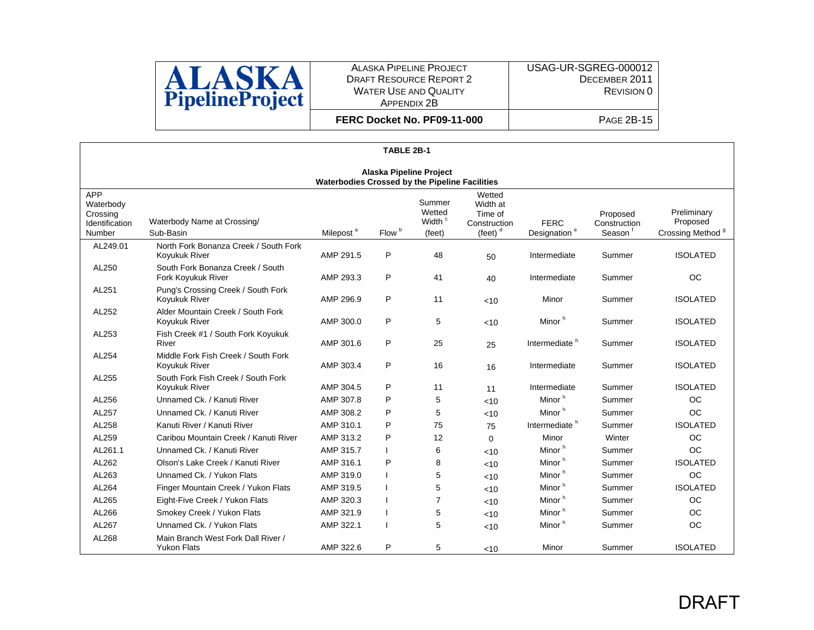

**FERC Docket No. PF09-11-000**

|                                                          | TABLE 2B-1                                                                       |                       |                   |                                                  |                                                             |                                         |                                                 |                                                         |  |  |  |  |
|----------------------------------------------------------|----------------------------------------------------------------------------------|-----------------------|-------------------|--------------------------------------------------|-------------------------------------------------------------|-----------------------------------------|-------------------------------------------------|---------------------------------------------------------|--|--|--|--|
|                                                          | <b>Alaska Pipeline Project</b><br>Waterbodies Crossed by the Pipeline Facilities |                       |                   |                                                  |                                                             |                                         |                                                 |                                                         |  |  |  |  |
| APP<br>Waterbody<br>Crossing<br>Identification<br>Number | Waterbody Name at Crossing/<br>Sub-Basin                                         | Milepost <sup>a</sup> | Flow <sup>b</sup> | Summer<br>Wetted<br>Width <sup>c</sup><br>(feet) | Wetted<br>Width at<br>Time of<br>Construction<br>(feet) $d$ | <b>FERC</b><br>Designation <sup>e</sup> | Proposed<br>Construction<br>Season <sup>1</sup> | Preliminary<br>Proposed<br>Crossing Method <sup>9</sup> |  |  |  |  |
| AL249.01                                                 | North Fork Bonanza Creek / South Fork<br>Koyukuk River                           | AMP 291.5             | P                 | 48                                               | 50                                                          | Intermediate                            | Summer                                          | <b>ISOLATED</b>                                         |  |  |  |  |
| AL250                                                    | South Fork Bonanza Creek / South<br>Fork Koyukuk River                           | AMP 293.3             | P                 | 41                                               | 40                                                          | Intermediate                            | Summer                                          | <b>OC</b>                                               |  |  |  |  |
| AL251                                                    | Pung's Crossing Creek / South Fork<br>Koyukuk River                              | AMP 296.9             | P                 | 11                                               | < 10                                                        | Minor                                   | Summer                                          | <b>ISOLATED</b>                                         |  |  |  |  |
| AL252                                                    | Alder Mountain Creek / South Fork<br>Koyukuk River                               | AMP 300.0             | P                 | 5                                                | <10                                                         | Minor <sup>h</sup>                      | Summer                                          | <b>ISOLATED</b>                                         |  |  |  |  |
| AL253                                                    | Fish Creek #1 / South Fork Koyukuk<br>River                                      | AMP 301.6             | P                 | 25                                               | 25                                                          | Intermediate <sup>h</sup>               | Summer                                          | <b>ISOLATED</b>                                         |  |  |  |  |
| AL254                                                    | Middle Fork Fish Creek / South Fork<br>Koyukuk River                             | AMP 303.4             | P                 | 16                                               | 16                                                          | Intermediate                            | Summer                                          | <b>ISOLATED</b>                                         |  |  |  |  |
| AL255                                                    | South Fork Fish Creek / South Fork<br>Koyukuk River                              | AMP 304.5             | P                 | 11                                               | 11                                                          | Intermediate                            | Summer                                          | <b>ISOLATED</b>                                         |  |  |  |  |
| AL256                                                    | Unnamed Ck. / Kanuti River                                                       | AMP 307.8             | P                 | 5                                                | < 10                                                        | Minor <sup>h</sup>                      | Summer                                          | OC                                                      |  |  |  |  |
| AL257                                                    | Unnamed Ck. / Kanuti River                                                       | AMP 308.2             | P                 | 5                                                | <10                                                         | Minor <sup>h</sup>                      | Summer                                          | <b>OC</b>                                               |  |  |  |  |
| AL258                                                    | Kanuti River / Kanuti River                                                      | AMP 310.1             | P                 | 75                                               | 75                                                          | Intermediate <sup>h</sup>               | Summer                                          | <b>ISOLATED</b>                                         |  |  |  |  |
| AL259                                                    | Caribou Mountain Creek / Kanuti River                                            | AMP 313.2             | P                 | 12                                               | $\Omega$                                                    | Minor                                   | Winter                                          | <b>OC</b>                                               |  |  |  |  |
| AL261.1                                                  | Unnamed Ck. / Kanuti River                                                       | AMP 315.7             |                   | 6                                                | < 10                                                        | Minor <sup>h</sup>                      | Summer                                          | <b>OC</b>                                               |  |  |  |  |
| AL262                                                    | Olson's Lake Creek / Kanuti River                                                | AMP 316.1             | P                 | 8                                                | <10                                                         | Minor <sup>h</sup>                      | Summer                                          | <b>ISOLATED</b>                                         |  |  |  |  |
| AL263                                                    | Unnamed Ck. / Yukon Flats                                                        | AMP 319.0             |                   | 5                                                | < 10                                                        | Minor <sup>h</sup>                      | Summer                                          | <b>OC</b>                                               |  |  |  |  |
| AL264                                                    | Finger Mountain Creek / Yukon Flats                                              | AMP 319.5             |                   | 5                                                | < 10                                                        | Minor <sup>h</sup>                      | Summer                                          | <b>ISOLATED</b>                                         |  |  |  |  |
| AL265                                                    | Eight-Five Creek / Yukon Flats                                                   | AMP 320.3             |                   | 7                                                | < 10                                                        | Minor <sup>h</sup>                      | Summer                                          | <b>OC</b>                                               |  |  |  |  |
| AL266                                                    | Smokey Creek / Yukon Flats                                                       | AMP 321.9             |                   | 5                                                | < 10                                                        | Minor <sup>h</sup>                      | Summer                                          | <b>OC</b>                                               |  |  |  |  |
| AL267                                                    | Unnamed Ck. / Yukon Flats                                                        | AMP 322.1             |                   | 5                                                | < 10                                                        | Minor <sup>h</sup>                      | Summer                                          | <b>OC</b>                                               |  |  |  |  |
| AL268                                                    | Main Branch West Fork Dall River /<br><b>Yukon Flats</b>                         | AMP 322.6             | P                 | 5                                                | < 10                                                        | Minor                                   | Summer                                          | <b>ISOLATED</b>                                         |  |  |  |  |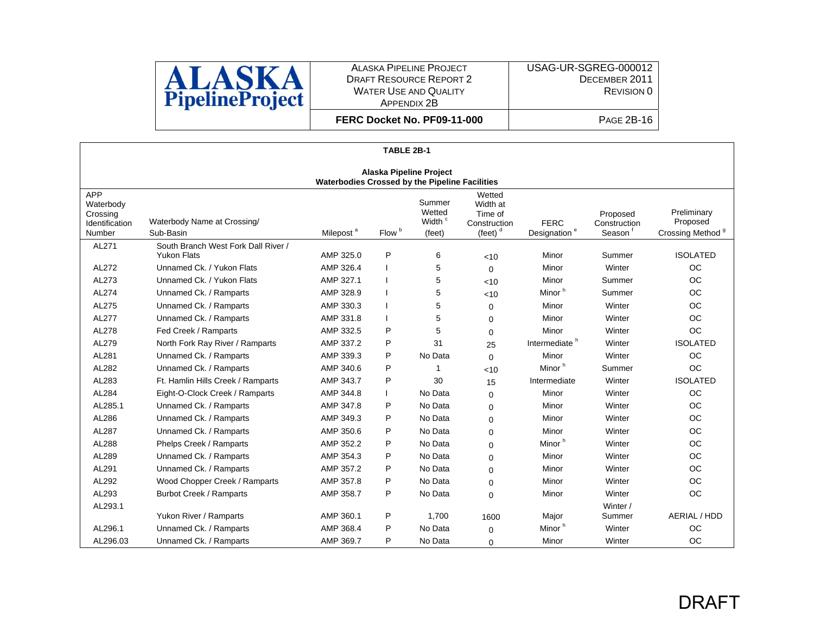

**FERC Docket No. PF09-11-000**

|                                                          | TABLE 2B-1                                                                              |                       |                   |                                                  |                                                                  |                                         |                                    |                                                         |  |  |  |  |
|----------------------------------------------------------|-----------------------------------------------------------------------------------------|-----------------------|-------------------|--------------------------------------------------|------------------------------------------------------------------|-----------------------------------------|------------------------------------|---------------------------------------------------------|--|--|--|--|
|                                                          | <b>Alaska Pipeline Project</b><br><b>Waterbodies Crossed by the Pipeline Facilities</b> |                       |                   |                                                  |                                                                  |                                         |                                    |                                                         |  |  |  |  |
| APP<br>Waterbody<br>Crossing<br>Identification<br>Number | Waterbody Name at Crossing/<br>Sub-Basin                                                | Milepost <sup>a</sup> | Flow <sup>b</sup> | Summer<br>Wetted<br>Width <sup>c</sup><br>(feet) | Wetted<br>Width at<br>Time of<br>Construction<br>(feet) $^\circ$ | <b>FERC</b><br>Designation <sup>e</sup> | Proposed<br>Construction<br>Season | Preliminary<br>Proposed<br>Crossing Method <sup>9</sup> |  |  |  |  |
| AL271                                                    | South Branch West Fork Dall River /                                                     |                       |                   |                                                  |                                                                  |                                         |                                    |                                                         |  |  |  |  |
|                                                          | <b>Yukon Flats</b>                                                                      | AMP 325.0             | P                 | 6                                                | < 10                                                             | Minor                                   | Summer                             | <b>ISOLATED</b>                                         |  |  |  |  |
| AL272                                                    | Unnamed Ck. / Yukon Flats                                                               | AMP 326.4             |                   | 5                                                | $\Omega$                                                         | Minor                                   | Winter                             | <b>OC</b>                                               |  |  |  |  |
| AL273                                                    | Unnamed Ck. / Yukon Flats                                                               | AMP 327.1             |                   | 5                                                | <10                                                              | Minor                                   | Summer                             | OC                                                      |  |  |  |  |
| AL274                                                    | Unnamed Ck. / Ramparts                                                                  | AMP 328.9             |                   | 5                                                | < 10                                                             | Minor <sup>h</sup>                      | Summer                             | OC                                                      |  |  |  |  |
| AL275                                                    | Unnamed Ck. / Ramparts                                                                  | AMP 330.3             |                   | 5                                                | $\Omega$                                                         | Minor                                   | Winter                             | <b>OC</b>                                               |  |  |  |  |
| AL277                                                    | Unnamed Ck. / Ramparts                                                                  | AMP 331.8             |                   | 5                                                | $\Omega$                                                         | Minor                                   | Winter                             | <b>OC</b>                                               |  |  |  |  |
| AL278                                                    | Fed Creek / Ramparts                                                                    | AMP 332.5             | P                 | 5                                                | $\Omega$                                                         | Minor                                   | Winter                             | <b>OC</b>                                               |  |  |  |  |
| AL279                                                    | North Fork Ray River / Ramparts                                                         | AMP 337.2             | P                 | 31                                               | 25                                                               | Intermediate <sup>h</sup>               | Winter                             | <b>ISOLATED</b>                                         |  |  |  |  |
| AL281                                                    | Unnamed Ck. / Ramparts                                                                  | AMP 339.3             | P                 | No Data                                          | $\Omega$                                                         | Minor                                   | Winter                             | <b>OC</b>                                               |  |  |  |  |
| AL282                                                    | Unnamed Ck. / Ramparts                                                                  | AMP 340.6             | P                 | 1                                                | <10                                                              | Minor <sup>h</sup>                      | Summer                             | <b>OC</b>                                               |  |  |  |  |
| AL283                                                    | Ft. Hamlin Hills Creek / Ramparts                                                       | AMP 343.7             | P                 | 30                                               | 15                                                               | Intermediate                            | Winter                             | <b>ISOLATED</b>                                         |  |  |  |  |
| AL284                                                    | Eight-O-Clock Creek / Ramparts                                                          | AMP 344.8             |                   | No Data                                          | $\Omega$                                                         | Minor                                   | Winter                             | <b>OC</b>                                               |  |  |  |  |
| AL285.1                                                  | Unnamed Ck. / Ramparts                                                                  | AMP 347.8             | P                 | No Data                                          | $\Omega$                                                         | Minor                                   | Winter                             | <b>OC</b>                                               |  |  |  |  |
| AL286                                                    | Unnamed Ck. / Ramparts                                                                  | AMP 349.3             | P                 | No Data                                          | $\Omega$                                                         | Minor                                   | Winter                             | <b>OC</b>                                               |  |  |  |  |
| AL287                                                    | Unnamed Ck. / Ramparts                                                                  | AMP 350.6             | P                 | No Data                                          | $\Omega$                                                         | Minor                                   | Winter                             | <b>OC</b>                                               |  |  |  |  |
| AL288                                                    | Phelps Creek / Ramparts                                                                 | AMP 352.2             | P                 | No Data                                          | $\Omega$                                                         | Minor <sup>h</sup>                      | Winter                             | <b>OC</b>                                               |  |  |  |  |
| AL289                                                    | Unnamed Ck. / Ramparts                                                                  | AMP 354.3             | P                 | No Data                                          | $\Omega$                                                         | Minor                                   | Winter                             | OC                                                      |  |  |  |  |
| AL291                                                    | Unnamed Ck. / Ramparts                                                                  | AMP 357.2             | P                 | No Data                                          | $\Omega$                                                         | Minor                                   | Winter                             | OC                                                      |  |  |  |  |
| AL292                                                    | Wood Chopper Creek / Ramparts                                                           | AMP 357.8             | P                 | No Data                                          | $\Omega$                                                         | Minor                                   | Winter                             | OC                                                      |  |  |  |  |
| AL293                                                    | <b>Burbot Creek / Ramparts</b>                                                          | AMP 358.7             | P                 | No Data                                          | $\Omega$                                                         | Minor                                   | Winter                             | <b>OC</b>                                               |  |  |  |  |
| AL293.1                                                  |                                                                                         |                       |                   |                                                  |                                                                  |                                         | Winter /                           |                                                         |  |  |  |  |
|                                                          | Yukon River / Ramparts                                                                  | AMP 360.1             | P                 | 1.700                                            | 1600                                                             | Major                                   | Summer                             | AERIAL / HDD                                            |  |  |  |  |
| AL296.1                                                  | Unnamed Ck. / Ramparts                                                                  | AMP 368.4             | P                 | No Data                                          | $\Omega$                                                         | Minor <sup>h</sup>                      | Winter                             | <b>OC</b>                                               |  |  |  |  |
| AL296.03                                                 | Unnamed Ck. / Ramparts                                                                  | AMP 369.7             | P                 | No Data                                          | 0                                                                | Minor                                   | Winter                             | <b>OC</b>                                               |  |  |  |  |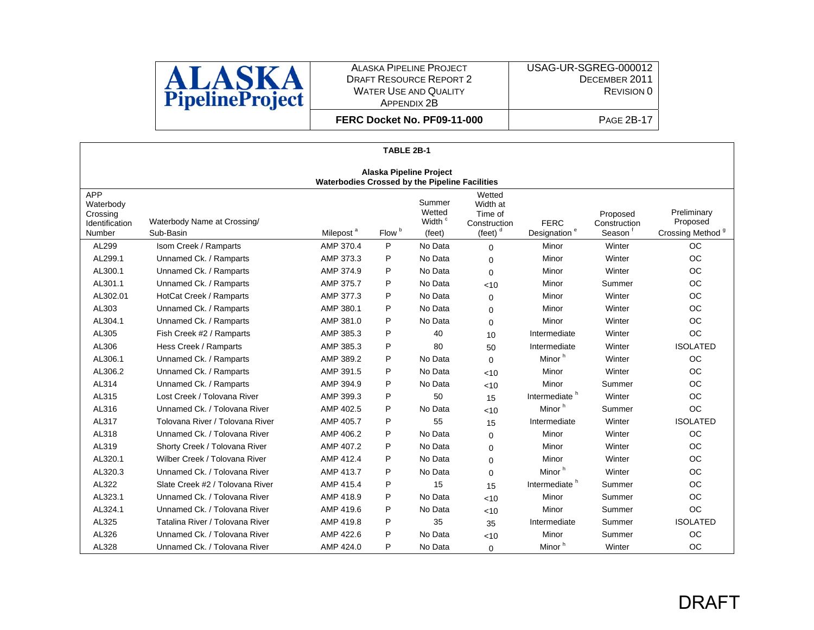

**FERC Docket No. PF09-11-000**

|                                                          | TABLE 2B-1                                                                       |                       |                   |                                                  |                                                             |                                         |                                    |                                                         |  |  |  |  |
|----------------------------------------------------------|----------------------------------------------------------------------------------|-----------------------|-------------------|--------------------------------------------------|-------------------------------------------------------------|-----------------------------------------|------------------------------------|---------------------------------------------------------|--|--|--|--|
|                                                          | <b>Alaska Pipeline Project</b><br>Waterbodies Crossed by the Pipeline Facilities |                       |                   |                                                  |                                                             |                                         |                                    |                                                         |  |  |  |  |
| APP<br>Waterbody<br>Crossing<br>Identification<br>Number | Waterbody Name at Crossing/<br>Sub-Basin                                         | Milepost <sup>a</sup> | Flow <sup>b</sup> | Summer<br>Wetted<br>Width <sup>c</sup><br>(feet) | Wetted<br>Width at<br>Time of<br>Construction<br>(feet) $d$ | <b>FERC</b><br>Designation <sup>e</sup> | Proposed<br>Construction<br>Season | Preliminary<br>Proposed<br>Crossing Method <sup>9</sup> |  |  |  |  |
| AL299                                                    | Isom Creek / Ramparts                                                            | AMP 370.4             | P                 | No Data                                          | $\Omega$                                                    | Minor                                   | Winter                             | OC.                                                     |  |  |  |  |
| AL299.1                                                  | Unnamed Ck. / Ramparts                                                           | AMP 373.3             | P                 | No Data                                          | $\Omega$                                                    | Minor                                   | Winter                             | OC                                                      |  |  |  |  |
| AL300.1                                                  | Unnamed Ck. / Ramparts                                                           | AMP 374.9             | P                 | No Data                                          | $\Omega$                                                    | Minor                                   | Winter                             | <b>OC</b>                                               |  |  |  |  |
| AL301.1                                                  | Unnamed Ck. / Ramparts                                                           | AMP 375.7             | P                 | No Data                                          | < 10                                                        | Minor                                   | Summer                             | <b>OC</b>                                               |  |  |  |  |
| AL302.01                                                 | HotCat Creek / Ramparts                                                          | AMP 377.3             | P                 | No Data                                          | $\Omega$                                                    | Minor                                   | Winter                             | OC                                                      |  |  |  |  |
| AL303                                                    | Unnamed Ck. / Ramparts                                                           | AMP 380.1             | P                 | No Data                                          | $\Omega$                                                    | Minor                                   | Winter                             | OC                                                      |  |  |  |  |
| AL304.1                                                  | Unnamed Ck. / Ramparts                                                           | AMP 381.0             | P                 | No Data                                          | $\Omega$                                                    | Minor                                   | Winter                             | <b>OC</b>                                               |  |  |  |  |
| AL305                                                    | Fish Creek #2 / Ramparts                                                         | AMP 385.3             | P                 | 40                                               | 10                                                          | Intermediate                            | Winter                             | <b>OC</b>                                               |  |  |  |  |
| AL306                                                    | Hess Creek / Ramparts                                                            | AMP 385.3             | P                 | 80                                               | 50                                                          | Intermediate                            | Winter                             | <b>ISOLATED</b>                                         |  |  |  |  |
| AL306.1                                                  | Unnamed Ck. / Ramparts                                                           | AMP 389.2             | P                 | No Data                                          | $\Omega$                                                    | Minor <sup>h</sup>                      | Winter                             | <b>OC</b>                                               |  |  |  |  |
| AL306.2                                                  | Unnamed Ck. / Ramparts                                                           | AMP 391.5             | P                 | No Data                                          | < 10                                                        | Minor                                   | Winter                             | <b>OC</b>                                               |  |  |  |  |
| AL314                                                    | Unnamed Ck. / Ramparts                                                           | AMP 394.9             | P                 | No Data                                          | < 10                                                        | Minor                                   | Summer                             | <b>OC</b>                                               |  |  |  |  |
| AL315                                                    | Lost Creek / Tolovana River                                                      | AMP 399.3             | P                 | 50                                               | 15                                                          | Intermediate <sup>h</sup>               | Winter                             | OC                                                      |  |  |  |  |
| AL316                                                    | Unnamed Ck. / Tolovana River                                                     | AMP 402.5             | P                 | No Data                                          | < 10                                                        | Minor <sup>h</sup>                      | Summer                             | <b>OC</b>                                               |  |  |  |  |
| AL317                                                    | Tolovana River / Tolovana River                                                  | AMP 405.7             | P                 | 55                                               | 15                                                          | Intermediate                            | Winter                             | <b>ISOLATED</b>                                         |  |  |  |  |
| AL318                                                    | Unnamed Ck. / Tolovana River                                                     | AMP 406.2             | P                 | No Data                                          | $\Omega$                                                    | Minor                                   | Winter                             | <b>OC</b>                                               |  |  |  |  |
| AL319                                                    | Shorty Creek / Tolovana River                                                    | AMP 407.2             | P                 | No Data                                          | $\Omega$                                                    | Minor                                   | Winter                             | OC                                                      |  |  |  |  |
| AL320.1                                                  | Wilber Creek / Tolovana River                                                    | AMP 412.4             | P                 | No Data                                          | $\Omega$                                                    | Minor                                   | Winter                             | OC                                                      |  |  |  |  |
| AL320.3                                                  | Unnamed Ck. / Tolovana River                                                     | AMP 413.7             | P                 | No Data                                          | $\mathbf 0$                                                 | Minor <sup>h</sup>                      | Winter                             | <b>OC</b>                                               |  |  |  |  |
| AL322                                                    | Slate Creek #2 / Tolovana River                                                  | AMP 415.4             | P                 | 15                                               | 15                                                          | Intermediate <sup>h</sup>               | Summer                             | OC                                                      |  |  |  |  |
| AL323.1                                                  | Unnamed Ck. / Tolovana River                                                     | AMP 418.9             | P                 | No Data                                          | < 10                                                        | Minor                                   | Summer                             | <b>OC</b>                                               |  |  |  |  |
| AL324.1                                                  | Unnamed Ck. / Tolovana River                                                     | AMP 419.6             | P                 | No Data                                          | < 10                                                        | Minor                                   | Summer                             | <b>OC</b>                                               |  |  |  |  |
| AL325                                                    | Tatalina River / Tolovana River                                                  | AMP 419.8             | P                 | 35                                               | 35                                                          | Intermediate                            | Summer                             | <b>ISOLATED</b>                                         |  |  |  |  |
| AL326                                                    | Unnamed Ck. / Tolovana River                                                     | AMP 422.6             | P                 | No Data                                          | 10<                                                         | Minor                                   | Summer                             | OC                                                      |  |  |  |  |
| AL328                                                    | Unnamed Ck. / Tolovana River                                                     | AMP 424.0             | P                 | No Data                                          | $\mathbf 0$                                                 | Minor <sup>h</sup>                      | Winter                             | <b>OC</b>                                               |  |  |  |  |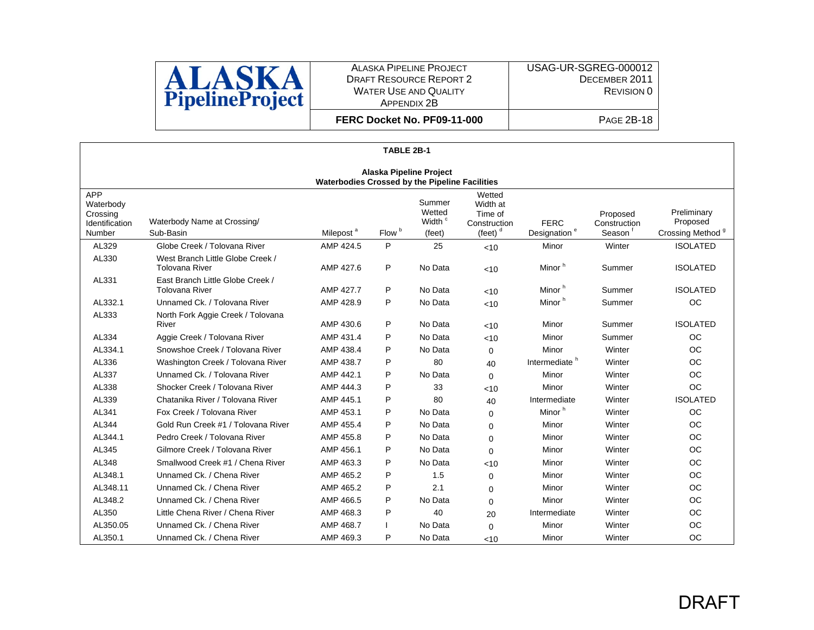

**FERC Docket No. PF09-11-000**

|                                                          | TABLE 2B-1                                                                       |                       |                   |                                                  |                                                             |                                         |                                    |                                                         |  |  |  |  |
|----------------------------------------------------------|----------------------------------------------------------------------------------|-----------------------|-------------------|--------------------------------------------------|-------------------------------------------------------------|-----------------------------------------|------------------------------------|---------------------------------------------------------|--|--|--|--|
|                                                          | Alaska Pipeline Project<br><b>Waterbodies Crossed by the Pipeline Facilities</b> |                       |                   |                                                  |                                                             |                                         |                                    |                                                         |  |  |  |  |
| APP<br>Waterbody<br>Crossing<br>Identification<br>Number | Waterbody Name at Crossing/<br>Sub-Basin                                         | Milepost <sup>a</sup> | Flow <sup>b</sup> | Summer<br>Wetted<br>Width <sup>c</sup><br>(feet) | Wetted<br>Width at<br>Time of<br>Construction<br>(feet) $°$ | <b>FERC</b><br>Designation <sup>e</sup> | Proposed<br>Construction<br>Season | Preliminary<br>Proposed<br>Crossing Method <sup>9</sup> |  |  |  |  |
| AL329                                                    | Globe Creek / Tolovana River                                                     | AMP 424.5             | P                 | 25                                               | < 10                                                        | Minor                                   | Winter                             | <b>ISOLATED</b>                                         |  |  |  |  |
| AL330                                                    | West Branch Little Globe Creek /<br><b>Tolovana River</b>                        | AMP 427.6             | P                 | No Data                                          | < 10                                                        | Minor <sup>h</sup>                      | Summer                             | <b>ISOLATED</b>                                         |  |  |  |  |
| AL331                                                    | East Branch Little Globe Creek /<br><b>Tolovana River</b>                        | AMP 427.7             | P                 | No Data                                          | < 10                                                        | Minor <sup>h</sup>                      | Summer                             | <b>ISOLATED</b>                                         |  |  |  |  |
| AL332.1                                                  | Unnamed Ck. / Tolovana River                                                     | AMP 428.9             | P                 | No Data                                          | < 10                                                        | Minor <sup>h</sup>                      | Summer                             | <b>OC</b>                                               |  |  |  |  |
| AL333                                                    | North Fork Aggie Creek / Tolovana<br>River                                       | AMP 430.6             | P                 | No Data                                          | < 10                                                        | Minor                                   | Summer                             | <b>ISOLATED</b>                                         |  |  |  |  |
| AL334                                                    | Aggie Creek / Tolovana River                                                     | AMP 431.4             | P                 | No Data                                          | <10                                                         | Minor                                   | Summer                             | <b>OC</b>                                               |  |  |  |  |
| AL334.1                                                  | Snowshoe Creek / Tolovana River                                                  | AMP 438.4             | P                 | No Data                                          | 0                                                           | Minor                                   | Winter                             | <b>OC</b>                                               |  |  |  |  |
| AL336                                                    | Washington Creek / Tolovana River                                                | AMP 438.7             | P                 | 80                                               | 40                                                          | Intermediate <sup>h</sup>               | Winter                             | <b>OC</b>                                               |  |  |  |  |
| AL337                                                    | Unnamed Ck. / Tolovana River                                                     | AMP 442.1             | P                 | No Data                                          | $\Omega$                                                    | Minor                                   | Winter                             | <b>OC</b>                                               |  |  |  |  |
| AL338                                                    | Shocker Creek / Tolovana River                                                   | AMP 444.3             | P                 | 33                                               | < 10                                                        | Minor                                   | Winter                             | <b>OC</b>                                               |  |  |  |  |
| AL339                                                    | Chatanika River / Tolovana River                                                 | AMP 445.1             | P                 | 80                                               | 40                                                          | Intermediate                            | Winter                             | <b>ISOLATED</b>                                         |  |  |  |  |
| AL341                                                    | Fox Creek / Tolovana River                                                       | AMP 453.1             | P                 | No Data                                          | $\Omega$                                                    | Minor <sup>h</sup>                      | Winter                             | OC                                                      |  |  |  |  |
| AL344                                                    | Gold Run Creek #1 / Tolovana River                                               | AMP 455.4             | P                 | No Data                                          | $\Omega$                                                    | Minor                                   | Winter                             | <b>OC</b>                                               |  |  |  |  |
| AL344.1                                                  | Pedro Creek / Tolovana River                                                     | AMP 455.8             | P                 | No Data                                          | $\Omega$                                                    | Minor                                   | Winter                             | <b>OC</b>                                               |  |  |  |  |
| AL345                                                    | Gilmore Creek / Tolovana River                                                   | AMP 456.1             | P                 | No Data                                          | $\Omega$                                                    | Minor                                   | Winter                             | <b>OC</b>                                               |  |  |  |  |
| AL348                                                    | Smallwood Creek #1 / Chena River                                                 | AMP 463.3             | P                 | No Data                                          | <10                                                         | Minor                                   | Winter                             | <b>OC</b>                                               |  |  |  |  |
| AL348.1                                                  | Unnamed Ck. / Chena River                                                        | AMP 465.2             | P                 | 1.5                                              | $\mathbf 0$                                                 | Minor                                   | Winter                             | <b>OC</b>                                               |  |  |  |  |
| AL348.11                                                 | Unnamed Ck. / Chena River                                                        | AMP 465.2             | P                 | 2.1                                              | $\Omega$                                                    | Minor                                   | Winter                             | <b>OC</b>                                               |  |  |  |  |
| AL348.2                                                  | Unnamed Ck. / Chena River                                                        | AMP 466.5             | P                 | No Data                                          | $\Omega$                                                    | Minor                                   | Winter                             | <b>OC</b>                                               |  |  |  |  |
| AL350                                                    | Little Chena River / Chena River                                                 | AMP 468.3             | P                 | 40                                               | 20                                                          | Intermediate                            | Winter                             | <b>OC</b>                                               |  |  |  |  |
| AL350.05                                                 | Unnamed Ck. / Chena River                                                        | AMP 468.7             |                   | No Data                                          | $\Omega$                                                    | Minor                                   | Winter                             | <b>OC</b>                                               |  |  |  |  |
| AL350.1                                                  | Unnamed Ck. / Chena River                                                        | AMP 469.3             | P                 | No Data                                          | < 10                                                        | Minor                                   | Winter                             | <b>OC</b>                                               |  |  |  |  |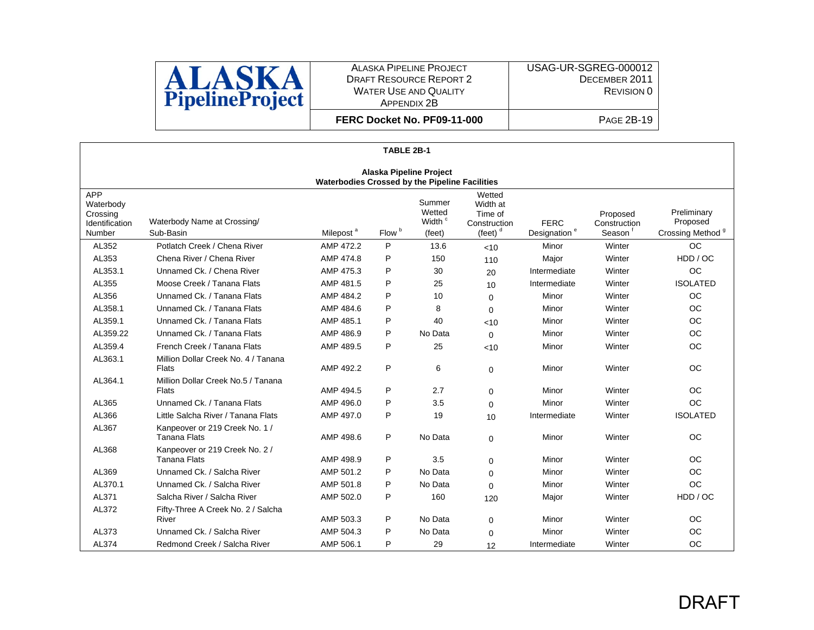

**FERC Docket No. PF09-11-000**

|                                                                 | TABLE 2B-1                                                                |                       |                   |                                                  |                                                             |                                         |                                    |                                                         |  |  |  |  |
|-----------------------------------------------------------------|---------------------------------------------------------------------------|-----------------------|-------------------|--------------------------------------------------|-------------------------------------------------------------|-----------------------------------------|------------------------------------|---------------------------------------------------------|--|--|--|--|
|                                                                 | Alaska Pipeline Project<br>Waterbodies Crossed by the Pipeline Facilities |                       |                   |                                                  |                                                             |                                         |                                    |                                                         |  |  |  |  |
| <b>APP</b><br>Waterbody<br>Crossing<br>Identification<br>Number | Waterbody Name at Crossing/<br>Sub-Basin                                  | Milepost <sup>a</sup> | Flow <sup>b</sup> | Summer<br>Wetted<br>Width <sup>c</sup><br>(feet) | Wetted<br>Width at<br>Time of<br>Construction<br>(feet) $d$ | <b>FERC</b><br>Designation <sup>e</sup> | Proposed<br>Construction<br>Season | Preliminary<br>Proposed<br>Crossing Method <sup>9</sup> |  |  |  |  |
| AL352                                                           | Potlatch Creek / Chena River                                              | AMP 472.2             | P                 | 13.6                                             | < 10                                                        | Minor                                   | Winter                             | <b>OC</b>                                               |  |  |  |  |
| AL353                                                           | Chena River / Chena River                                                 | AMP 474.8             | P                 | 150                                              | 110                                                         | Major                                   | Winter                             | HDD / OC                                                |  |  |  |  |
| AL353.1                                                         | Unnamed Ck. / Chena River                                                 | AMP 475.3             | P                 | 30                                               | 20                                                          | Intermediate                            | Winter                             | <b>OC</b>                                               |  |  |  |  |
| AL355                                                           | Moose Creek / Tanana Flats                                                | AMP 481.5             | P                 | 25                                               | 10                                                          | Intermediate                            | Winter                             | <b>ISOLATED</b>                                         |  |  |  |  |
| AL356                                                           | Unnamed Ck. / Tanana Flats                                                | AMP 484.2             | P                 | 10 <sup>1</sup>                                  | $\Omega$                                                    | Minor                                   | Winter                             | OC.                                                     |  |  |  |  |
| AL358.1                                                         | Unnamed Ck. / Tanana Flats                                                | AMP 484.6             | P                 | 8                                                | $\Omega$                                                    | Minor                                   | Winter                             | <b>OC</b>                                               |  |  |  |  |
| AL359.1                                                         | Unnamed Ck. / Tanana Flats                                                | AMP 485.1             | P                 | 40                                               | 10<                                                         | Minor                                   | Winter                             | <b>OC</b>                                               |  |  |  |  |
| AL359.22                                                        | Unnamed Ck. / Tanana Flats                                                | AMP 486.9             | P                 | No Data                                          | $\Omega$                                                    | Minor                                   | Winter                             | <b>OC</b>                                               |  |  |  |  |
| AL359.4                                                         | French Creek / Tanana Flats                                               | AMP 489.5             | P                 | 25                                               | < 10                                                        | Minor                                   | Winter                             | <b>OC</b>                                               |  |  |  |  |
| AL363.1                                                         | Million Dollar Creek No. 4 / Tanana<br>Flats                              | AMP 492.2             | P                 | 6                                                | $\Omega$                                                    | Minor                                   | Winter                             | <b>OC</b>                                               |  |  |  |  |
| AL364.1                                                         | Million Dollar Creek No.5 / Tanana<br>Flats                               | AMP 494.5             | P                 | 2.7                                              | $\mathbf 0$                                                 | Minor                                   | Winter                             | <b>OC</b>                                               |  |  |  |  |
| AL365                                                           | Unnamed Ck. / Tanana Flats                                                | AMP 496.0             | P                 | 3.5                                              | $\Omega$                                                    | Minor                                   | Winter                             | <b>OC</b>                                               |  |  |  |  |
| AL366                                                           | Little Salcha River / Tanana Flats                                        | AMP 497.0             | P                 | 19                                               | 10                                                          | Intermediate                            | Winter                             | <b>ISOLATED</b>                                         |  |  |  |  |
| AL367                                                           | Kanpeover or 219 Creek No. 1 /<br><b>Tanana Flats</b>                     | AMP 498.6             | P                 | No Data                                          | $\mathbf 0$                                                 | Minor                                   | Winter                             | <b>OC</b>                                               |  |  |  |  |
| AL368                                                           | Kanpeover or 219 Creek No. 2 /<br><b>Tanana Flats</b>                     | AMP 498.9             | P                 | 3.5                                              | $\mathbf 0$                                                 | Minor                                   | Winter                             | <b>OC</b>                                               |  |  |  |  |
| AL369                                                           | Unnamed Ck. / Salcha River                                                | AMP 501.2             | P                 | No Data                                          | $\Omega$                                                    | Minor                                   | Winter                             | OC                                                      |  |  |  |  |
| AL370.1                                                         | Unnamed Ck. / Salcha River                                                | AMP 501.8             | P                 | No Data                                          | $\Omega$                                                    | Minor                                   | Winter                             | <b>OC</b>                                               |  |  |  |  |
| AL371                                                           | Salcha River / Salcha River                                               | AMP 502.0             | P                 | 160                                              | 120                                                         | Major                                   | Winter                             | HDD / OC                                                |  |  |  |  |
| AL372                                                           | Fifty-Three A Creek No. 2 / Salcha<br>River                               | AMP 503.3             | P                 | No Data                                          | $\Omega$                                                    | Minor                                   | Winter                             | <b>OC</b>                                               |  |  |  |  |
| AL373                                                           | Unnamed Ck. / Salcha River                                                | AMP 504.3             | P                 | No Data                                          | $\mathbf 0$                                                 | Minor                                   | Winter                             | <b>OC</b>                                               |  |  |  |  |
| AL374                                                           | Redmond Creek / Salcha River                                              | AMP 506.1             | P                 | 29                                               | 12                                                          | Intermediate                            | Winter                             | <b>OC</b>                                               |  |  |  |  |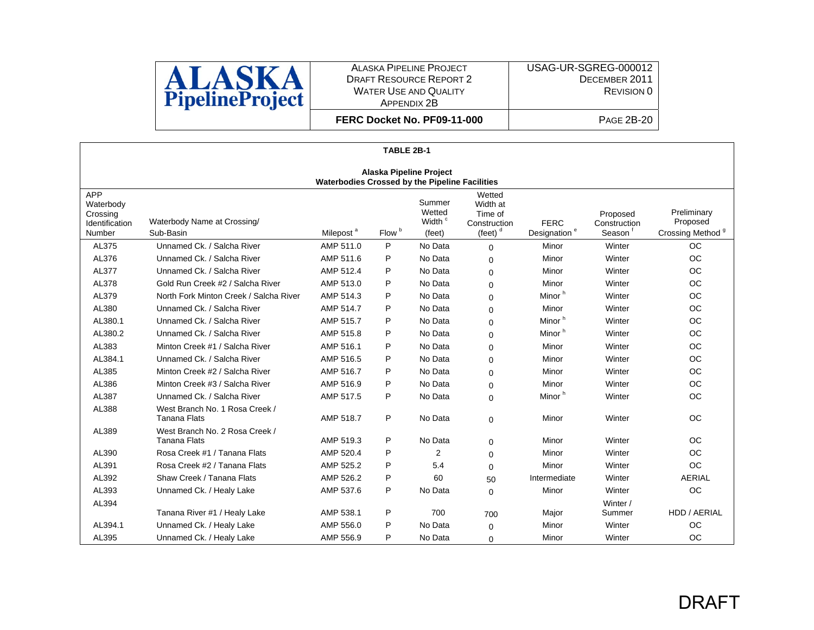

USAG-UR-SGREG-000012 DECEMBER 2011 REVISION 0

**FERC Docket No. PF09-11-000**

|                                                                 | TABLE 2B-1                                            |                       |                   |                                                  |                                                                               |                                         |                                                 |                                                         |  |  |  |
|-----------------------------------------------------------------|-------------------------------------------------------|-----------------------|-------------------|--------------------------------------------------|-------------------------------------------------------------------------------|-----------------------------------------|-------------------------------------------------|---------------------------------------------------------|--|--|--|
|                                                                 | Alaska Pipeline Project                               |                       |                   |                                                  |                                                                               |                                         |                                                 |                                                         |  |  |  |
| Waterbodies Crossed by the Pipeline Facilities                  |                                                       |                       |                   |                                                  |                                                                               |                                         |                                                 |                                                         |  |  |  |
| <b>APP</b><br>Waterbody<br>Crossing<br>Identification<br>Number | Waterbody Name at Crossing/<br>Sub-Basin              | Milepost <sup>a</sup> | Flow <sup>b</sup> | Summer<br>Wetted<br>Width <sup>c</sup><br>(feet) | Wetted<br>Width at<br>Time of<br>Construction<br>$(\text{feet})$ <sup>d</sup> | <b>FERC</b><br>Designation <sup>e</sup> | Proposed<br>Construction<br>Season <sup>1</sup> | Preliminary<br>Proposed<br>Crossing Method <sup>9</sup> |  |  |  |
| AL375                                                           | Unnamed Ck. / Salcha River                            | AMP 511.0             | P                 | No Data                                          | $\Omega$                                                                      | Minor                                   | Winter                                          | <b>OC</b>                                               |  |  |  |
| AL376                                                           | Unnamed Ck. / Salcha River                            | AMP 511.6             | P                 | No Data                                          | $\Omega$                                                                      | Minor                                   | Winter                                          | <b>OC</b>                                               |  |  |  |
| AL377                                                           | Unnamed Ck. / Salcha River                            | AMP 512.4             | P                 | No Data                                          | $\Omega$                                                                      | Minor                                   | Winter                                          | <b>OC</b>                                               |  |  |  |
| AL378                                                           | Gold Run Creek #2 / Salcha River                      | AMP 513.0             | P                 | No Data                                          | $\Omega$                                                                      | Minor                                   | Winter                                          | <b>OC</b>                                               |  |  |  |
| AL379                                                           | North Fork Minton Creek / Salcha River                | AMP 514.3             | P                 | No Data                                          | $\mathbf 0$                                                                   | Minor <sup>h</sup>                      | Winter                                          | <b>OC</b>                                               |  |  |  |
| AL380                                                           | Unnamed Ck. / Salcha River                            | AMP 514.7             | P                 | No Data                                          | $\Omega$                                                                      | Minor                                   | Winter                                          | <b>OC</b>                                               |  |  |  |
| AL380.1                                                         | Unnamed Ck. / Salcha River                            | AMP 515.7             | P                 | No Data                                          | $\Omega$                                                                      | Minor <sup>h</sup>                      | Winter                                          | <b>OC</b>                                               |  |  |  |
| AL380.2                                                         | Unnamed Ck. / Salcha River                            | AMP 515.8             | P                 | No Data                                          | $\Omega$                                                                      | Minor <sup>h</sup>                      | Winter                                          | <b>OC</b>                                               |  |  |  |
| AL383                                                           | Minton Creek #1 / Salcha River                        | AMP 516.1             | P                 | No Data                                          | $\Omega$                                                                      | Minor                                   | Winter                                          | <b>OC</b>                                               |  |  |  |
| AL384.1                                                         | Unnamed Ck. / Salcha River                            | AMP 516.5             | P                 | No Data                                          | $\Omega$                                                                      | Minor                                   | Winter                                          | <b>OC</b>                                               |  |  |  |
| AL385                                                           | Minton Creek #2 / Salcha River                        | AMP 516.7             | P                 | No Data                                          | $\Omega$                                                                      | Minor                                   | Winter                                          | <b>OC</b>                                               |  |  |  |
| AL386                                                           | Minton Creek #3 / Salcha River                        | AMP 516.9             | P                 | No Data                                          | $\mathbf 0$                                                                   | Minor                                   | Winter                                          | <b>OC</b>                                               |  |  |  |
| AL387                                                           | Unnamed Ck. / Salcha River                            | AMP 517.5             | P                 | No Data                                          | $\Omega$                                                                      | Minor <sup>h</sup>                      | Winter                                          | <b>OC</b>                                               |  |  |  |
| AL388                                                           | West Branch No. 1 Rosa Creek /<br><b>Tanana Flats</b> | AMP 518.7             | P                 | No Data                                          | $\Omega$                                                                      | Minor                                   | Winter                                          | <b>OC</b>                                               |  |  |  |
| AL389                                                           | West Branch No. 2 Rosa Creek /<br><b>Tanana Flats</b> | AMP 519.3             | P                 | No Data                                          | $\Omega$                                                                      | Minor                                   | Winter                                          | <b>OC</b>                                               |  |  |  |
| AL390                                                           | Rosa Creek #1 / Tanana Flats                          | AMP 520.4             | P                 | $\overline{2}$                                   | $\Omega$                                                                      | Minor                                   | Winter                                          | <b>OC</b>                                               |  |  |  |
| AL391                                                           | Rosa Creek #2 / Tanana Flats                          | AMP 525.2             | P                 | 5.4                                              | $\Omega$                                                                      | Minor                                   | Winter                                          | <b>OC</b>                                               |  |  |  |
| AL392                                                           | Shaw Creek / Tanana Flats                             | AMP 526.2             | P                 | 60                                               | 50                                                                            | Intermediate                            | Winter                                          | <b>AERIAL</b>                                           |  |  |  |
| AL393                                                           | Unnamed Ck. / Healy Lake                              | AMP 537.6             | P                 | No Data                                          | $\Omega$                                                                      | Minor                                   | Winter                                          | <b>OC</b>                                               |  |  |  |
| AL394                                                           |                                                       |                       |                   |                                                  |                                                                               |                                         | Winter /                                        |                                                         |  |  |  |
|                                                                 | Tanana River #1 / Healy Lake                          | AMP 538.1             | P                 | 700                                              | 700                                                                           | Major                                   | Summer                                          | HDD / AERIAL                                            |  |  |  |
| AL394.1                                                         | Unnamed Ck. / Healy Lake                              | AMP 556.0             | P                 | No Data                                          | $\Omega$                                                                      | Minor                                   | Winter                                          | <b>OC</b>                                               |  |  |  |
| AL395                                                           | Unnamed Ck. / Healy Lake                              | AMP 556.9             | P                 | No Data                                          | $\Omega$                                                                      | Minor                                   | Winter                                          | <b>OC</b>                                               |  |  |  |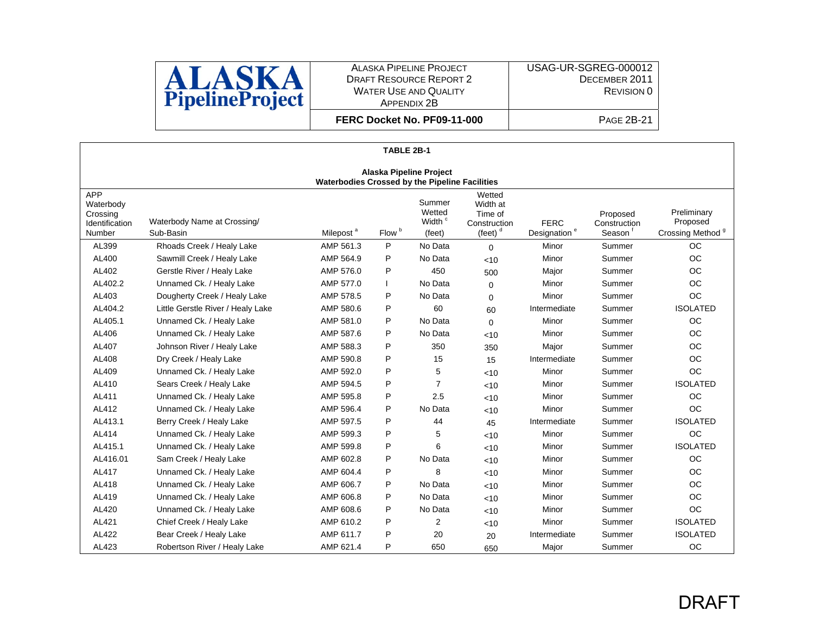

USAG-UR-SGREG-000012 DECEMBER 2011 REVISION 0

**FERC Docket No. PF09-11-000**

|                                                                 | TABLE 2B-1                                                                       |                       |                   |                                                  |                                                             |                                         |                                    |                                                         |  |  |  |
|-----------------------------------------------------------------|----------------------------------------------------------------------------------|-----------------------|-------------------|--------------------------------------------------|-------------------------------------------------------------|-----------------------------------------|------------------------------------|---------------------------------------------------------|--|--|--|
|                                                                 | <b>Alaska Pipeline Project</b><br>Waterbodies Crossed by the Pipeline Facilities |                       |                   |                                                  |                                                             |                                         |                                    |                                                         |  |  |  |
| <b>APP</b><br>Waterbody<br>Crossing<br>Identification<br>Number | Waterbody Name at Crossing/<br>Sub-Basin                                         | Milepost <sup>a</sup> | Flow <sup>b</sup> | Summer<br>Wetted<br>Width <sup>c</sup><br>(feet) | Wetted<br>Width at<br>Time of<br>Construction<br>(feet) $d$ | <b>FERC</b><br>Designation <sup>e</sup> | Proposed<br>Construction<br>Season | Preliminary<br>Proposed<br>Crossing Method <sup>9</sup> |  |  |  |
| AL399                                                           | Rhoads Creek / Healy Lake                                                        | AMP 561.3             | P                 | No Data                                          | $\Omega$                                                    | Minor                                   | Summer                             | <b>OC</b>                                               |  |  |  |
| AL400                                                           | Sawmill Creek / Healy Lake                                                       | AMP 564.9             | P                 | No Data                                          | < 10                                                        | Minor                                   | Summer                             | <b>OC</b>                                               |  |  |  |
| AL402                                                           | Gerstle River / Healy Lake                                                       | AMP 576.0             | P                 | 450                                              | 500                                                         | Major                                   | Summer                             | <b>OC</b>                                               |  |  |  |
| AL402.2                                                         | Unnamed Ck. / Healy Lake                                                         | AMP 577.0             |                   | No Data                                          | $\Omega$                                                    | Minor                                   | Summer                             | <b>OC</b>                                               |  |  |  |
| AL403                                                           | Dougherty Creek / Healy Lake                                                     | AMP 578.5             | P                 | No Data                                          | $\Omega$                                                    | Minor                                   | Summer                             | <b>OC</b>                                               |  |  |  |
| AL404.2                                                         | Little Gerstle River / Healy Lake                                                | AMP 580.6             | P                 | 60                                               | 60                                                          | Intermediate                            | Summer                             | <b>ISOLATED</b>                                         |  |  |  |
| AL405.1                                                         | Unnamed Ck. / Healy Lake                                                         | AMP 581.0             | P                 | No Data                                          | $\Omega$                                                    | Minor                                   | Summer                             | <b>OC</b>                                               |  |  |  |
| AL406                                                           | Unnamed Ck. / Healy Lake                                                         | AMP 587.6             | P                 | No Data                                          | < 10                                                        | Minor                                   | Summer                             | <b>OC</b>                                               |  |  |  |
| AL407                                                           | Johnson River / Healy Lake                                                       | AMP 588.3             | P                 | 350                                              | 350                                                         | Major                                   | Summer                             | <b>OC</b>                                               |  |  |  |
| AL408                                                           | Dry Creek / Healy Lake                                                           | AMP 590.8             | P                 | 15                                               | 15                                                          | Intermediate                            | Summer                             | <b>OC</b>                                               |  |  |  |
| AL409                                                           | Unnamed Ck. / Healy Lake                                                         | AMP 592.0             | P                 | 5                                                | <10                                                         | Minor                                   | Summer                             | <b>OC</b>                                               |  |  |  |
| AL410                                                           | Sears Creek / Healy Lake                                                         | AMP 594.5             | P                 | $\overline{7}$                                   | < 10                                                        | Minor                                   | Summer                             | <b>ISOLATED</b>                                         |  |  |  |
| AL411                                                           | Unnamed Ck. / Healy Lake                                                         | AMP 595.8             | P                 | 2.5                                              | <10                                                         | Minor                                   | Summer                             | <b>OC</b>                                               |  |  |  |
| AL412                                                           | Unnamed Ck. / Healy Lake                                                         | AMP 596.4             | P                 | No Data                                          | <10                                                         | Minor                                   | Summer                             | OC.                                                     |  |  |  |
| AL413.1                                                         | Berry Creek / Healy Lake                                                         | AMP 597.5             | P                 | 44                                               | 45                                                          | Intermediate                            | Summer                             | <b>ISOLATED</b>                                         |  |  |  |
| AL414                                                           | Unnamed Ck. / Healy Lake                                                         | AMP 599.3             | P                 | 5                                                | < 10                                                        | Minor                                   | Summer                             | <b>OC</b>                                               |  |  |  |
| AL415.1                                                         | Unnamed Ck. / Healy Lake                                                         | AMP 599.8             | P                 | 6                                                | < 10                                                        | Minor                                   | Summer                             | <b>ISOLATED</b>                                         |  |  |  |
| AL416.01                                                        | Sam Creek / Healy Lake                                                           | AMP 602.8             | P                 | No Data                                          | < 10                                                        | Minor                                   | Summer                             | <b>OC</b>                                               |  |  |  |
| AL417                                                           | Unnamed Ck. / Healy Lake                                                         | AMP 604.4             | P                 | 8                                                | < 10                                                        | Minor                                   | Summer                             | <b>OC</b>                                               |  |  |  |
| AL418                                                           | Unnamed Ck. / Healy Lake                                                         | AMP 606.7             | P                 | No Data                                          | < 10                                                        | Minor                                   | Summer                             | OC                                                      |  |  |  |
| AL419                                                           | Unnamed Ck. / Healy Lake                                                         | AMP 606.8             | P                 | No Data                                          | < 10                                                        | Minor                                   | Summer                             | OC                                                      |  |  |  |
| AL420                                                           | Unnamed Ck. / Healy Lake                                                         | AMP 608.6             | P                 | No Data                                          | < 10                                                        | Minor                                   | Summer                             | <b>OC</b>                                               |  |  |  |
| AL421                                                           | Chief Creek / Healy Lake                                                         | AMP 610.2             | P                 | $\overline{2}$                                   | $<$ 10                                                      | Minor                                   | Summer                             | <b>ISOLATED</b>                                         |  |  |  |
| AL422                                                           | Bear Creek / Healy Lake                                                          | AMP 611.7             | P                 | 20                                               | 20                                                          | Intermediate                            | Summer                             | <b>ISOLATED</b>                                         |  |  |  |
| AL423                                                           | Robertson River / Healy Lake                                                     | AMP 621.4             | P                 | 650                                              | 650                                                         | Major                                   | Summer                             | <b>OC</b>                                               |  |  |  |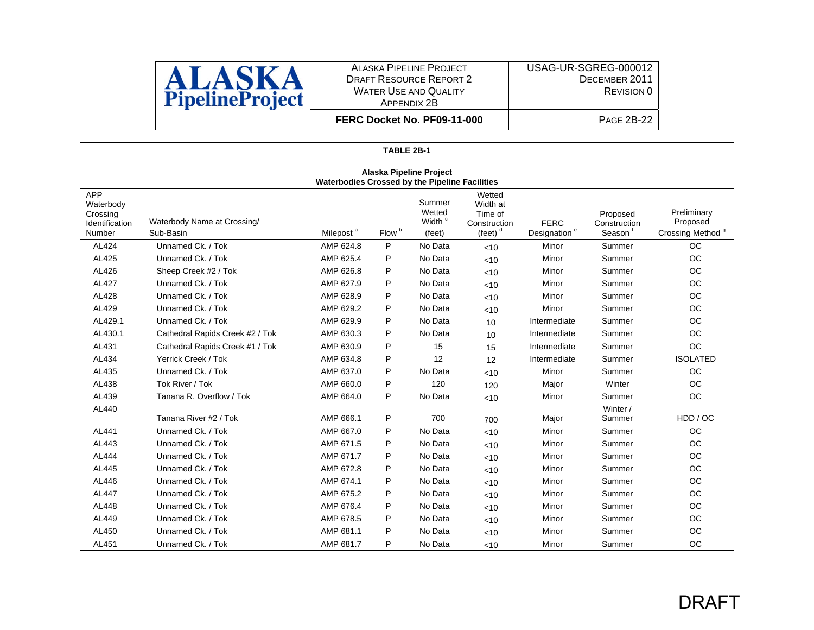

USAG-UR-SGREG-000012 DECEMBER 2011 REVISION 0

**FERC Docket No. PF09-11-000**

|                                                                                  | TABLE 2B-1                               |                       |                   |                                                  |                                                             |                                         |                                    |                                                         |  |  |
|----------------------------------------------------------------------------------|------------------------------------------|-----------------------|-------------------|--------------------------------------------------|-------------------------------------------------------------|-----------------------------------------|------------------------------------|---------------------------------------------------------|--|--|
| Alaska Pipeline Project<br><b>Waterbodies Crossed by the Pipeline Facilities</b> |                                          |                       |                   |                                                  |                                                             |                                         |                                    |                                                         |  |  |
| <b>APP</b><br>Waterbody<br>Crossing<br>Identification<br>Number                  | Waterbody Name at Crossing/<br>Sub-Basin | Milepost <sup>a</sup> | Flow <sup>b</sup> | Summer<br>Wetted<br>Width <sup>c</sup><br>(feet) | Wetted<br>Width at<br>Time of<br>Construction<br>(feet) $d$ | <b>FERC</b><br>Designation <sup>e</sup> | Proposed<br>Construction<br>Season | Preliminary<br>Proposed<br>Crossing Method <sup>9</sup> |  |  |
| AL424                                                                            | Unnamed Ck. / Tok                        | AMP 624.8             | P                 | No Data                                          | < 10                                                        | Minor                                   | Summer                             | <b>OC</b>                                               |  |  |
| AL425                                                                            | Unnamed Ck. / Tok                        | AMP 625.4             | P                 | No Data                                          | < 10                                                        | Minor                                   | Summer                             | OC                                                      |  |  |
| AL426                                                                            | Sheep Creek #2 / Tok                     | AMP 626.8             | P                 | No Data                                          | < 10                                                        | Minor                                   | Summer                             | <b>OC</b>                                               |  |  |
| AL427                                                                            | Unnamed Ck. / Tok                        | AMP 627.9             | P                 | No Data                                          | < 10                                                        | Minor                                   | Summer                             | <b>OC</b>                                               |  |  |
| AL428                                                                            | Unnamed Ck. / Tok                        | AMP 628.9             | P                 | No Data                                          | < 10                                                        | Minor                                   | Summer                             | OC                                                      |  |  |
| AL429                                                                            | Unnamed Ck. / Tok                        | AMP 629.2             | P                 | No Data                                          | < 10                                                        | Minor                                   | Summer                             | <b>OC</b>                                               |  |  |
| AL429.1                                                                          | Unnamed Ck. / Tok                        | AMP 629.9             | P                 | No Data                                          | 10                                                          | Intermediate                            | Summer                             | <b>OC</b>                                               |  |  |
| AL430.1                                                                          | Cathedral Rapids Creek #2 / Tok          | AMP 630.3             | P                 | No Data                                          | 10                                                          | Intermediate                            | Summer                             | <b>OC</b>                                               |  |  |
| AL431                                                                            | Cathedral Rapids Creek #1 / Tok          | AMP 630.9             | P                 | 15                                               | 15                                                          | Intermediate                            | Summer                             | <b>OC</b>                                               |  |  |
| AL434                                                                            | Yerrick Creek / Tok                      | AMP 634.8             | P                 | 12                                               | 12                                                          | Intermediate                            | Summer                             | <b>ISOLATED</b>                                         |  |  |
| AL435                                                                            | Unnamed Ck. / Tok                        | AMP 637.0             | P                 | No Data                                          | < 10                                                        | Minor                                   | Summer                             | <b>OC</b>                                               |  |  |
| AL438                                                                            | Tok River / Tok                          | AMP 660.0             | P                 | 120                                              | 120                                                         | Major                                   | Winter                             | <b>OC</b>                                               |  |  |
| AL439                                                                            | Tanana R. Overflow / Tok                 | AMP 664.0             | P                 | No Data                                          | < 10                                                        | Minor                                   | Summer                             | <b>OC</b>                                               |  |  |
| AL440                                                                            | Tanana River #2 / Tok                    | AMP 666.1             | P                 | 700                                              | 700                                                         | Major                                   | Winter /<br>Summer                 | HDD/OC                                                  |  |  |
| AL441                                                                            | Unnamed Ck. / Tok                        | AMP 667.0             | P                 | No Data                                          | < 10                                                        | Minor                                   | Summer                             | <b>OC</b>                                               |  |  |
| AL443                                                                            | Unnamed Ck. / Tok                        | AMP 671.5             | P                 | No Data                                          | < 10                                                        | Minor                                   | Summer                             | <b>OC</b>                                               |  |  |
| AL444                                                                            | Unnamed Ck. / Tok                        | AMP 671.7             | P                 | No Data                                          | < 10                                                        | Minor                                   | Summer                             | <b>OC</b>                                               |  |  |
| AL445                                                                            | Unnamed Ck. / Tok                        | AMP 672.8             | P                 | No Data                                          | < 10                                                        | Minor                                   | Summer                             | OC                                                      |  |  |
| AL446                                                                            | Unnamed Ck. / Tok                        | AMP 674.1             | P                 | No Data                                          | < 10                                                        | Minor                                   | Summer                             | OC                                                      |  |  |
| AL447                                                                            | Unnamed Ck. / Tok                        | AMP 675.2             | P                 | No Data                                          | < 10                                                        | Minor                                   | Summer                             | <b>OC</b>                                               |  |  |
| AL448                                                                            | Unnamed Ck. / Tok                        | AMP 676.4             | P                 | No Data                                          | < 10                                                        | Minor                                   | Summer                             | OC                                                      |  |  |
| AL449                                                                            | Unnamed Ck. / Tok                        | AMP 678.5             | P                 | No Data                                          | < 10                                                        | Minor                                   | Summer                             | <b>OC</b>                                               |  |  |
| AL450                                                                            | Unnamed Ck. / Tok                        | AMP 681.1             | P                 | No Data                                          | < 10                                                        | Minor                                   | Summer                             | <b>OC</b>                                               |  |  |
| AL451                                                                            | Unnamed Ck. / Tok                        | AMP 681.7             | P                 | No Data                                          | < 10                                                        | Minor                                   | Summer                             | <b>OC</b>                                               |  |  |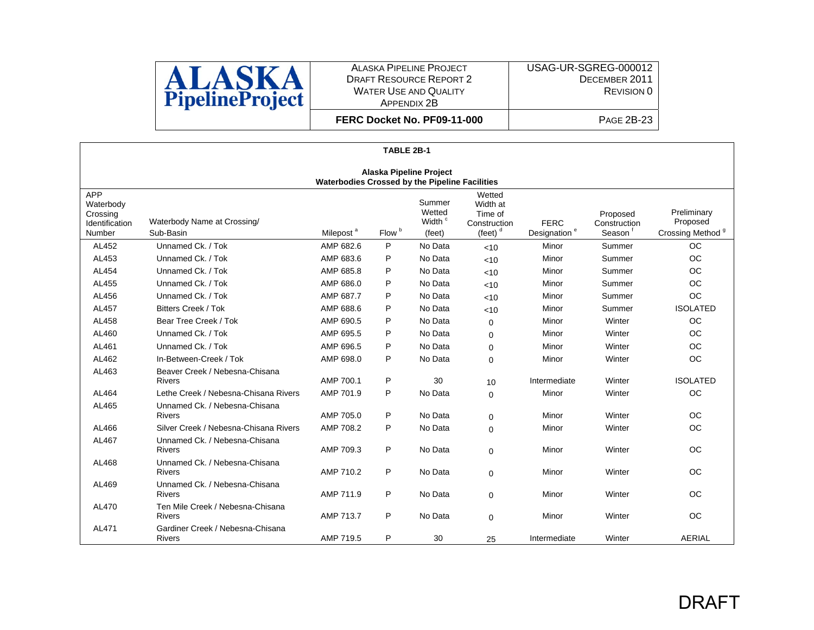

USAG-UR-SGREG-000012 DECEMBER 2011 REVISION 0

**FERC Docket No. PF09-11-000**

| TABLE 2B-1                                                                       |                                                   |           |   |         |          |              |        |                 |  |  |
|----------------------------------------------------------------------------------|---------------------------------------------------|-----------|---|---------|----------|--------------|--------|-----------------|--|--|
| <b>Alaska Pipeline Project</b><br>Waterbodies Crossed by the Pipeline Facilities |                                                   |           |   |         |          |              |        |                 |  |  |
|                                                                                  |                                                   |           |   |         |          |              |        |                 |  |  |
| AL452                                                                            | Unnamed Ck. / Tok                                 | AMP 682.6 | P | No Data | < 10     | Minor        | Summer | <b>OC</b>       |  |  |
| AL453                                                                            | Unnamed Ck. / Tok                                 | AMP 683.6 | P | No Data | < 10     | Minor        | Summer | <b>OC</b>       |  |  |
| AL454                                                                            | Unnamed Ck. / Tok                                 | AMP 685.8 | P | No Data | < 10     | Minor        | Summer | <b>OC</b>       |  |  |
| AL455                                                                            | Unnamed Ck. / Tok                                 | AMP 686.0 | P | No Data | < 10     | Minor        | Summer | OC              |  |  |
| AL456                                                                            | Unnamed Ck. / Tok                                 | AMP 687.7 | P | No Data | < 10     | Minor        | Summer | <b>OC</b>       |  |  |
| AL457                                                                            | <b>Bitters Creek / Tok</b>                        | AMP 688.6 | P | No Data | < 10     | Minor        | Summer | <b>ISOLATED</b> |  |  |
| AL458                                                                            | Bear Tree Creek / Tok                             | AMP 690.5 | P | No Data | $\Omega$ | Minor        | Winter | <b>OC</b>       |  |  |
| AL460                                                                            | Unnamed Ck. / Tok                                 | AMP 695.5 | P | No Data | $\Omega$ | Minor        | Winter | <b>OC</b>       |  |  |
| AL461                                                                            | Unnamed Ck. / Tok                                 | AMP 696.5 | P | No Data | $\Omega$ | Minor        | Winter | <b>OC</b>       |  |  |
| AL462                                                                            | In-Between-Creek / Tok                            | AMP 698.0 | P | No Data | $\Omega$ | Minor        | Winter | <b>OC</b>       |  |  |
| AL463                                                                            | Beaver Creek / Nebesna-Chisana<br><b>Rivers</b>   | AMP 700.1 | P | 30      | 10       | Intermediate | Winter | <b>ISOLATED</b> |  |  |
| AL464                                                                            | Lethe Creek / Nebesna-Chisana Rivers              | AMP 701.9 | P | No Data | $\Omega$ | Minor        | Winter | <b>OC</b>       |  |  |
| AL465                                                                            | Unnamed Ck. / Nebesna-Chisana<br><b>Rivers</b>    | AMP 705.0 | P | No Data | $\Omega$ | Minor        | Winter | <b>OC</b>       |  |  |
| AL466                                                                            | Silver Creek / Nebesna-Chisana Rivers             | AMP 708.2 | P | No Data | $\Omega$ | Minor        | Winter | <b>OC</b>       |  |  |
| AL467                                                                            | Unnamed Ck. / Nebesna-Chisana<br><b>Rivers</b>    | AMP 709.3 | P | No Data | $\Omega$ | Minor        | Winter | <b>OC</b>       |  |  |
| AL468                                                                            | Unnamed Ck. / Nebesna-Chisana<br><b>Rivers</b>    | AMP 710.2 | P | No Data | $\Omega$ | Minor        | Winter | <b>OC</b>       |  |  |
| AL469                                                                            | Unnamed Ck. / Nebesna-Chisana<br><b>Rivers</b>    | AMP 711.9 | P | No Data | $\Omega$ | Minor        | Winter | <b>OC</b>       |  |  |
| AL470                                                                            | Ten Mile Creek / Nebesna-Chisana<br><b>Rivers</b> | AMP 713.7 | P | No Data | $\Omega$ | Minor        | Winter | <b>OC</b>       |  |  |
| AL471                                                                            | Gardiner Creek / Nebesna-Chisana<br><b>Rivers</b> | AMP 719.5 | P | 30      | 25       | Intermediate | Winter | <b>AERIAL</b>   |  |  |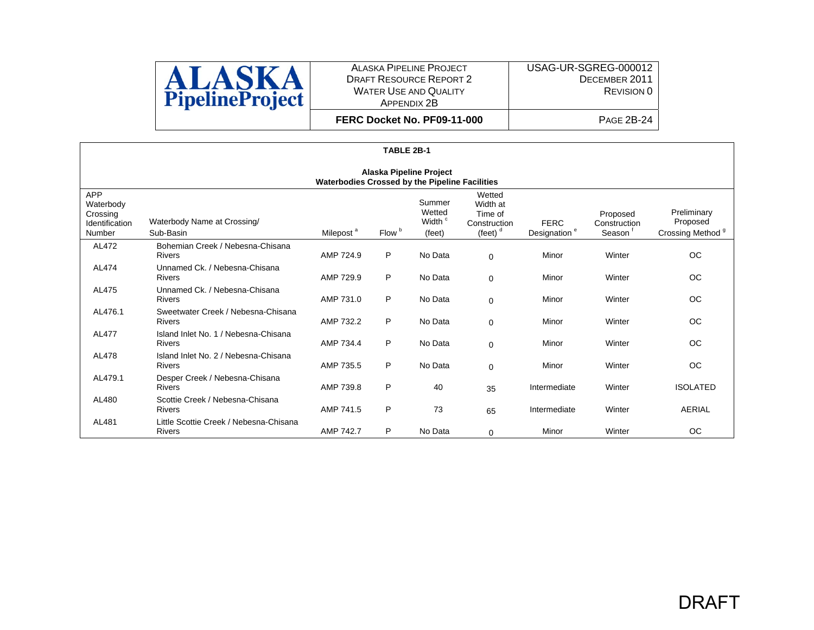

**FERC Docket No. PF09-11-000**

|                                                                           | TABLE 2B-1                                            |                       |                   |                                                  |                                                             |                                         |                                    |                                                         |  |  |
|---------------------------------------------------------------------------|-------------------------------------------------------|-----------------------|-------------------|--------------------------------------------------|-------------------------------------------------------------|-----------------------------------------|------------------------------------|---------------------------------------------------------|--|--|
| Alaska Pipeline Project<br>Waterbodies Crossed by the Pipeline Facilities |                                                       |                       |                   |                                                  |                                                             |                                         |                                    |                                                         |  |  |
| <b>APP</b><br>Waterbody<br>Crossing<br>Identification<br>Number           | Waterbody Name at Crossing/<br>Sub-Basin              | Milepost <sup>a</sup> | Flow <sup>b</sup> | Summer<br>Wetted<br>Width <sup>c</sup><br>(feet) | Wetted<br>Width at<br>Time of<br>Construction<br>(feet) $d$ | <b>FERC</b><br>Designation <sup>e</sup> | Proposed<br>Construction<br>Season | Preliminary<br>Proposed<br>Crossing Method <sup>9</sup> |  |  |
| AL472                                                                     | Bohemian Creek / Nebesna-Chisana<br><b>Rivers</b>     | AMP 724.9             | P                 | No Data                                          | $\Omega$                                                    | Minor                                   | Winter                             | <b>OC</b>                                               |  |  |
| AL474                                                                     | Unnamed Ck. / Nebesna-Chisana<br><b>Rivers</b>        | AMP 729.9             | P                 | No Data                                          | $\Omega$                                                    | Minor                                   | Winter                             | <b>OC</b>                                               |  |  |
| AL475                                                                     | Unnamed Ck. / Nebesna-Chisana<br>Rivers               | AMP 731.0             | P                 | No Data                                          | 0                                                           | Minor                                   | Winter                             | <b>OC</b>                                               |  |  |
| AL476.1                                                                   | Sweetwater Creek / Nebesna-Chisana<br><b>Rivers</b>   | AMP 732.2             | P                 | No Data                                          | 0                                                           | Minor                                   | Winter                             | <b>OC</b>                                               |  |  |
| AL477                                                                     | Island Inlet No. 1 / Nebesna-Chisana<br><b>Rivers</b> | AMP 734.4             | P                 | No Data                                          | $\Omega$                                                    | Minor                                   | Winter                             | ОC                                                      |  |  |
| AL478                                                                     | Island Inlet No. 2 / Nebesna-Chisana<br><b>Rivers</b> | AMP 735.5             | P                 | No Data                                          | $\Omega$                                                    | Minor                                   | Winter                             | <b>OC</b>                                               |  |  |
| AL479.1                                                                   | Desper Creek / Nebesna-Chisana<br>Rivers              | AMP 739.8             | P                 | 40                                               | 35                                                          | Intermediate                            | Winter                             | <b>ISOLATED</b>                                         |  |  |
| AL480                                                                     | Scottie Creek / Nebesna-Chisana<br><b>Rivers</b>      | AMP 741.5             | P                 | 73                                               | 65                                                          | Intermediate                            | Winter                             | <b>AERIAL</b>                                           |  |  |
| AL481                                                                     | Little Scottie Creek / Nebesna-Chisana<br>Rivers      | AMP 742.7             | P                 | No Data                                          | 0                                                           | Minor                                   | Winter                             | <b>OC</b>                                               |  |  |